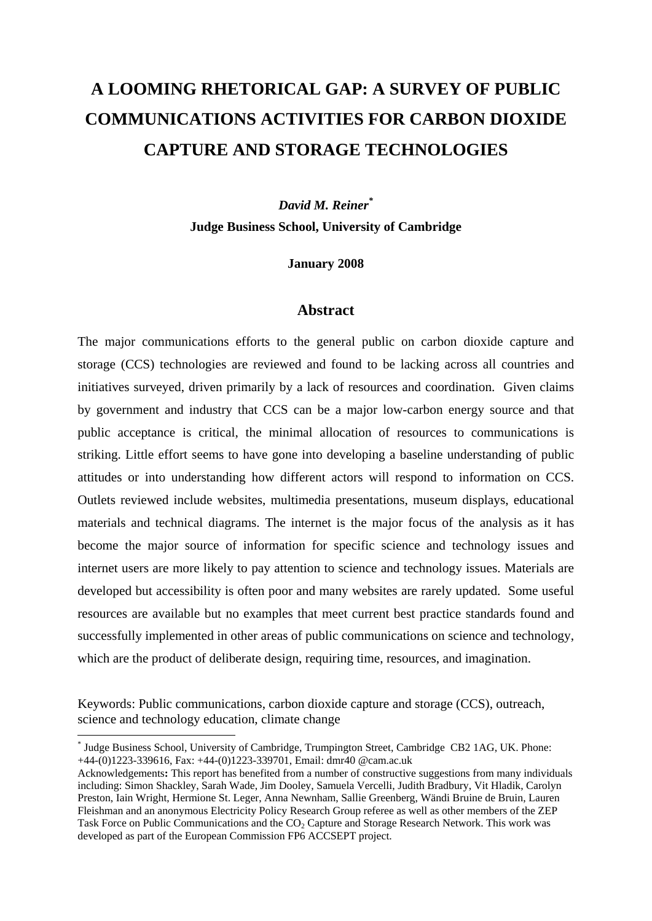# **A LOOMING RHETORICAL GAP: A SURVEY OF PUBLIC COMMUNICATIONS ACTIVITIES FOR CARBON DIOXIDE CAPTURE AND STORAGE TECHNOLOGIES**

*David M. Reiner\** **Judge Business School, University of Cambridge** 

**January 2008** 

### **Abstract**

The major communications efforts to the general public on carbon dioxide capture and storage (CCS) technologies are reviewed and found to be lacking across all countries and initiatives surveyed, driven primarily by a lack of resources and coordination. Given claims by government and industry that CCS can be a major low-carbon energy source and that public acceptance is critical, the minimal allocation of resources to communications is striking. Little effort seems to have gone into developing a baseline understanding of public attitudes or into understanding how different actors will respond to information on CCS. Outlets reviewed include websites, multimedia presentations, museum displays, educational materials and technical diagrams. The internet is the major focus of the analysis as it has become the major source of information for specific science and technology issues and internet users are more likely to pay attention to science and technology issues. Materials are developed but accessibility is often poor and many websites are rarely updated. Some useful resources are available but no examples that meet current best practice standards found and successfully implemented in other areas of public communications on science and technology, which are the product of deliberate design, requiring time, resources, and imagination.

Keywords: Public communications, carbon dioxide capture and storage (CCS), outreach, science and technology education, climate change

<u>.</u>

<sup>\*</sup> Judge Business School, University of Cambridge, Trumpington Street, Cambridge CB2 1AG, UK. Phone: +44-(0)1223-339616, Fax: +44-(0)1223-339701, Email: dmr40 @cam.ac.uk

Acknowledgements**:** This report has benefited from a number of constructive suggestions from many individuals including: Simon Shackley, Sarah Wade, Jim Dooley, Samuela Vercelli, Judith Bradbury, Vit Hladik, Carolyn Preston, Iain Wright, Hermione St. Leger, Anna Newnham, Sallie Greenberg, Wändi Bruine de Bruin, Lauren Fleishman and an anonymous Electricity Policy Research Group referee as well as other members of the ZEP Task Force on Public Communications and the CO<sub>2</sub> Capture and Storage Research Network. This work was developed as part of the European Commission FP6 ACCSEPT project.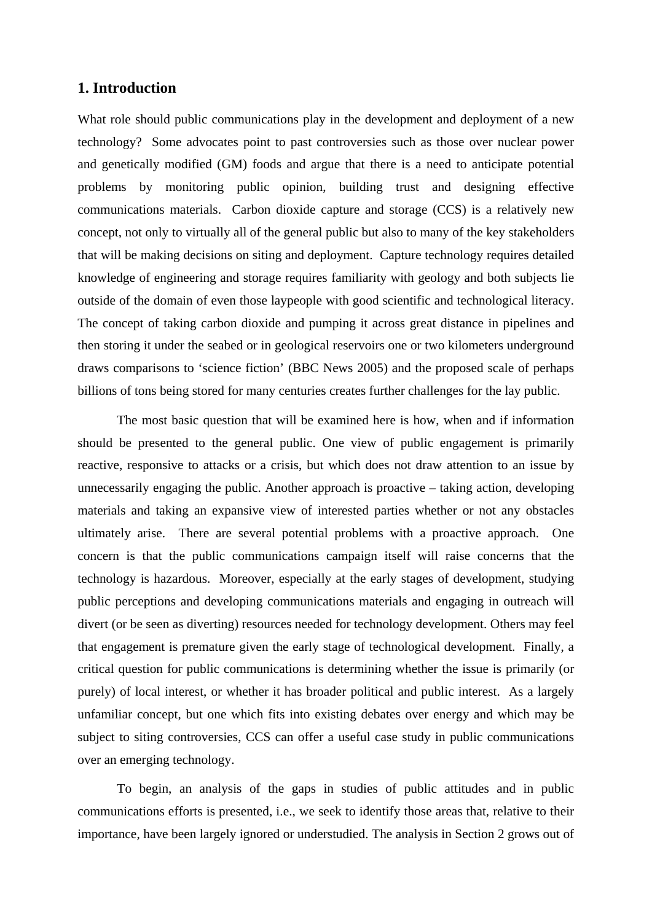# **1. Introduction**

What role should public communications play in the development and deployment of a new technology? Some advocates point to past controversies such as those over nuclear power and genetically modified (GM) foods and argue that there is a need to anticipate potential problems by monitoring public opinion, building trust and designing effective communications materials. Carbon dioxide capture and storage (CCS) is a relatively new concept, not only to virtually all of the general public but also to many of the key stakeholders that will be making decisions on siting and deployment. Capture technology requires detailed knowledge of engineering and storage requires familiarity with geology and both subjects lie outside of the domain of even those laypeople with good scientific and technological literacy. The concept of taking carbon dioxide and pumping it across great distance in pipelines and then storing it under the seabed or in geological reservoirs one or two kilometers underground draws comparisons to 'science fiction' (BBC News 2005) and the proposed scale of perhaps billions of tons being stored for many centuries creates further challenges for the lay public.

The most basic question that will be examined here is how, when and if information should be presented to the general public. One view of public engagement is primarily reactive, responsive to attacks or a crisis, but which does not draw attention to an issue by unnecessarily engaging the public. Another approach is proactive – taking action, developing materials and taking an expansive view of interested parties whether or not any obstacles ultimately arise. There are several potential problems with a proactive approach. One concern is that the public communications campaign itself will raise concerns that the technology is hazardous. Moreover, especially at the early stages of development, studying public perceptions and developing communications materials and engaging in outreach will divert (or be seen as diverting) resources needed for technology development. Others may feel that engagement is premature given the early stage of technological development. Finally, a critical question for public communications is determining whether the issue is primarily (or purely) of local interest, or whether it has broader political and public interest. As a largely unfamiliar concept, but one which fits into existing debates over energy and which may be subject to siting controversies, CCS can offer a useful case study in public communications over an emerging technology.

To begin, an analysis of the gaps in studies of public attitudes and in public communications efforts is presented, i.e., we seek to identify those areas that, relative to their importance, have been largely ignored or understudied. The analysis in Section 2 grows out of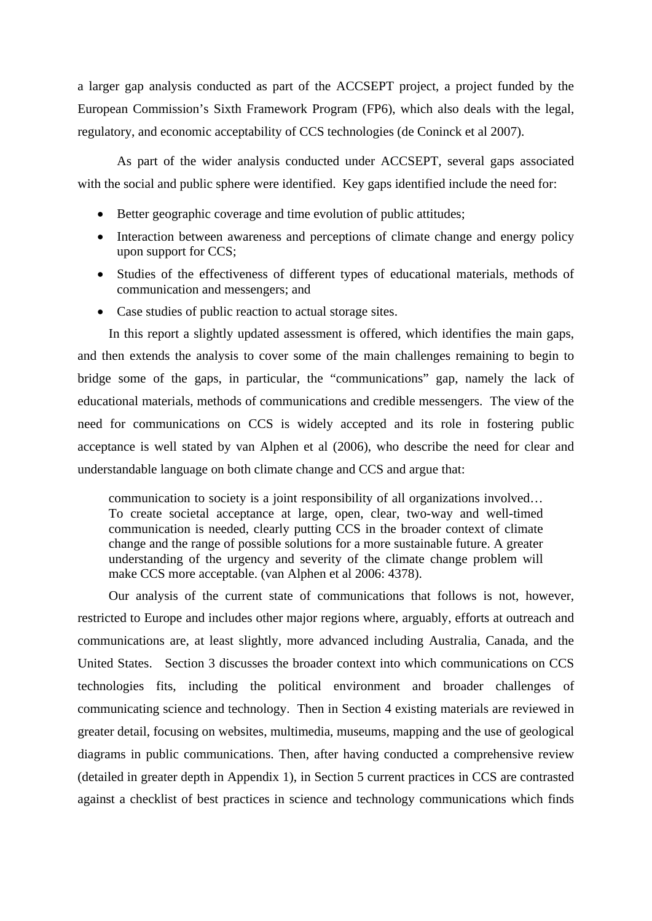a larger gap analysis conducted as part of the ACCSEPT project, a project funded by the European Commission's Sixth Framework Program (FP6), which also deals with the legal, regulatory, and economic acceptability of CCS technologies (de Coninck et al 2007).

As part of the wider analysis conducted under ACCSEPT, several gaps associated with the social and public sphere were identified. Key gaps identified include the need for:

- Better geographic coverage and time evolution of public attitudes;
- Interaction between awareness and perceptions of climate change and energy policy upon support for CCS;
- Studies of the effectiveness of different types of educational materials, methods of communication and messengers; and
- Case studies of public reaction to actual storage sites.

In this report a slightly updated assessment is offered, which identifies the main gaps, and then extends the analysis to cover some of the main challenges remaining to begin to bridge some of the gaps, in particular, the "communications" gap, namely the lack of educational materials, methods of communications and credible messengers. The view of the need for communications on CCS is widely accepted and its role in fostering public acceptance is well stated by van Alphen et al (2006), who describe the need for clear and understandable language on both climate change and CCS and argue that:

communication to society is a joint responsibility of all organizations involved… To create societal acceptance at large, open, clear, two-way and well-timed communication is needed, clearly putting CCS in the broader context of climate change and the range of possible solutions for a more sustainable future. A greater understanding of the urgency and severity of the climate change problem will make CCS more acceptable. (van Alphen et al 2006: 4378).

Our analysis of the current state of communications that follows is not, however, restricted to Europe and includes other major regions where, arguably, efforts at outreach and communications are, at least slightly, more advanced including Australia, Canada, and the United States. Section 3 discusses the broader context into which communications on CCS technologies fits, including the political environment and broader challenges of communicating science and technology. Then in Section 4 existing materials are reviewed in greater detail, focusing on websites, multimedia, museums, mapping and the use of geological diagrams in public communications. Then, after having conducted a comprehensive review (detailed in greater depth in Appendix 1), in Section 5 current practices in CCS are contrasted against a checklist of best practices in science and technology communications which finds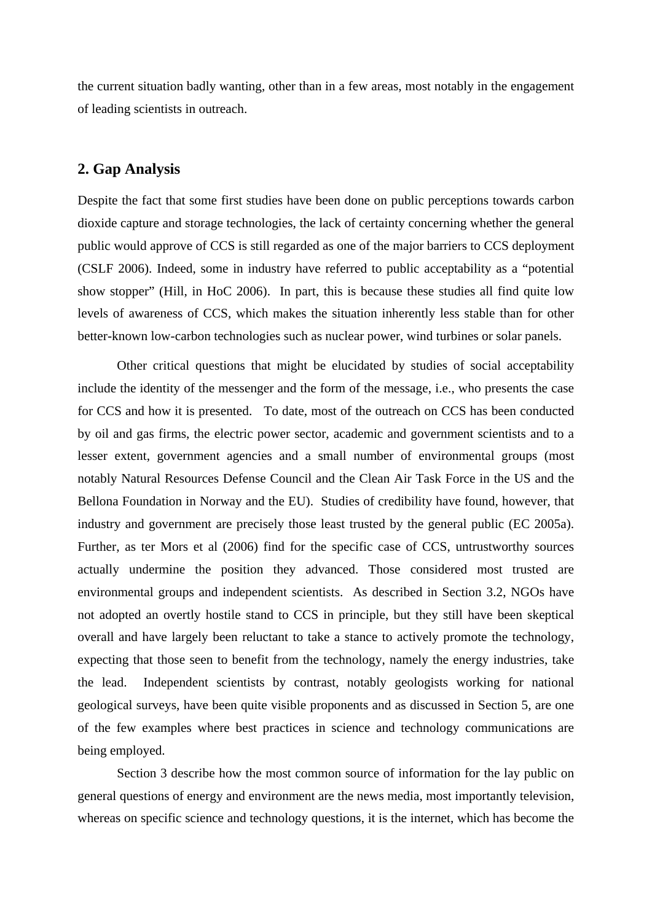the current situation badly wanting, other than in a few areas, most notably in the engagement of leading scientists in outreach.

# **2. Gap Analysis**

Despite the fact that some first studies have been done on public perceptions towards carbon dioxide capture and storage technologies, the lack of certainty concerning whether the general public would approve of CCS is still regarded as one of the major barriers to CCS deployment (CSLF 2006). Indeed, some in industry have referred to public acceptability as a "potential show stopper" (Hill, in HoC 2006). In part, this is because these studies all find quite low levels of awareness of CCS, which makes the situation inherently less stable than for other better-known low-carbon technologies such as nuclear power, wind turbines or solar panels.

Other critical questions that might be elucidated by studies of social acceptability include the identity of the messenger and the form of the message, i.e., who presents the case for CCS and how it is presented. To date, most of the outreach on CCS has been conducted by oil and gas firms, the electric power sector, academic and government scientists and to a lesser extent, government agencies and a small number of environmental groups (most notably Natural Resources Defense Council and the Clean Air Task Force in the US and the Bellona Foundation in Norway and the EU). Studies of credibility have found, however, that industry and government are precisely those least trusted by the general public (EC 2005a). Further, as ter Mors et al (2006) find for the specific case of CCS, untrustworthy sources actually undermine the position they advanced. Those considered most trusted are environmental groups and independent scientists. As described in Section 3.2, NGOs have not adopted an overtly hostile stand to CCS in principle, but they still have been skeptical overall and have largely been reluctant to take a stance to actively promote the technology, expecting that those seen to benefit from the technology, namely the energy industries, take the lead. Independent scientists by contrast, notably geologists working for national geological surveys, have been quite visible proponents and as discussed in Section 5, are one of the few examples where best practices in science and technology communications are being employed.

Section 3 describe how the most common source of information for the lay public on general questions of energy and environment are the news media, most importantly television, whereas on specific science and technology questions, it is the internet, which has become the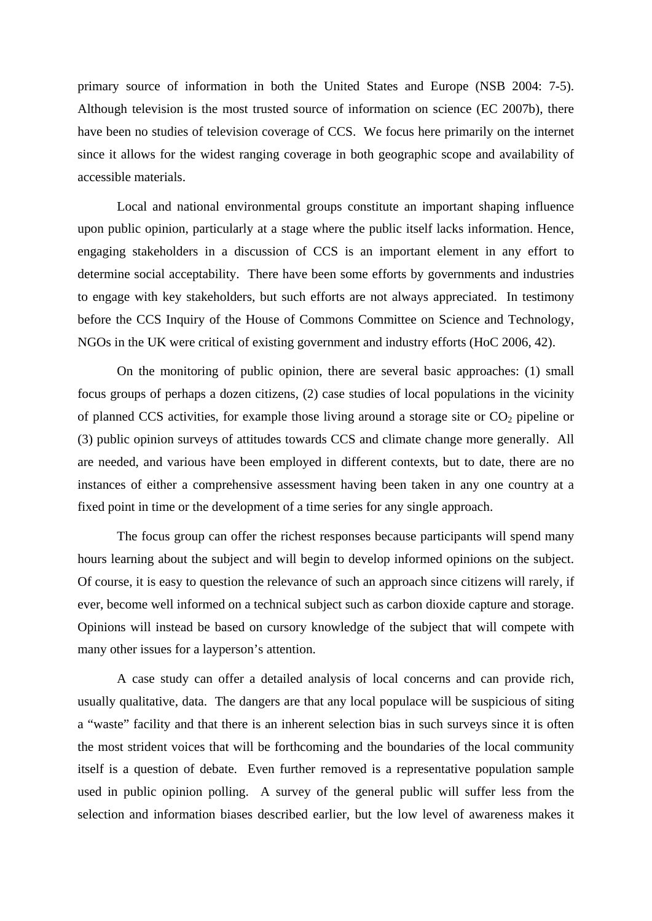primary source of information in both the United States and Europe (NSB 2004: 7-5). Although television is the most trusted source of information on science (EC 2007b), there have been no studies of television coverage of CCS. We focus here primarily on the internet since it allows for the widest ranging coverage in both geographic scope and availability of accessible materials.

Local and national environmental groups constitute an important shaping influence upon public opinion, particularly at a stage where the public itself lacks information. Hence, engaging stakeholders in a discussion of CCS is an important element in any effort to determine social acceptability. There have been some efforts by governments and industries to engage with key stakeholders, but such efforts are not always appreciated. In testimony before the CCS Inquiry of the House of Commons Committee on Science and Technology, NGOs in the UK were critical of existing government and industry efforts (HoC 2006, 42).

On the monitoring of public opinion, there are several basic approaches: (1) small focus groups of perhaps a dozen citizens, (2) case studies of local populations in the vicinity of planned CCS activities, for example those living around a storage site or  $CO<sub>2</sub>$  pipeline or (3) public opinion surveys of attitudes towards CCS and climate change more generally. All are needed, and various have been employed in different contexts, but to date, there are no instances of either a comprehensive assessment having been taken in any one country at a fixed point in time or the development of a time series for any single approach.

The focus group can offer the richest responses because participants will spend many hours learning about the subject and will begin to develop informed opinions on the subject. Of course, it is easy to question the relevance of such an approach since citizens will rarely, if ever, become well informed on a technical subject such as carbon dioxide capture and storage. Opinions will instead be based on cursory knowledge of the subject that will compete with many other issues for a layperson's attention.

A case study can offer a detailed analysis of local concerns and can provide rich, usually qualitative, data. The dangers are that any local populace will be suspicious of siting a "waste" facility and that there is an inherent selection bias in such surveys since it is often the most strident voices that will be forthcoming and the boundaries of the local community itself is a question of debate. Even further removed is a representative population sample used in public opinion polling. A survey of the general public will suffer less from the selection and information biases described earlier, but the low level of awareness makes it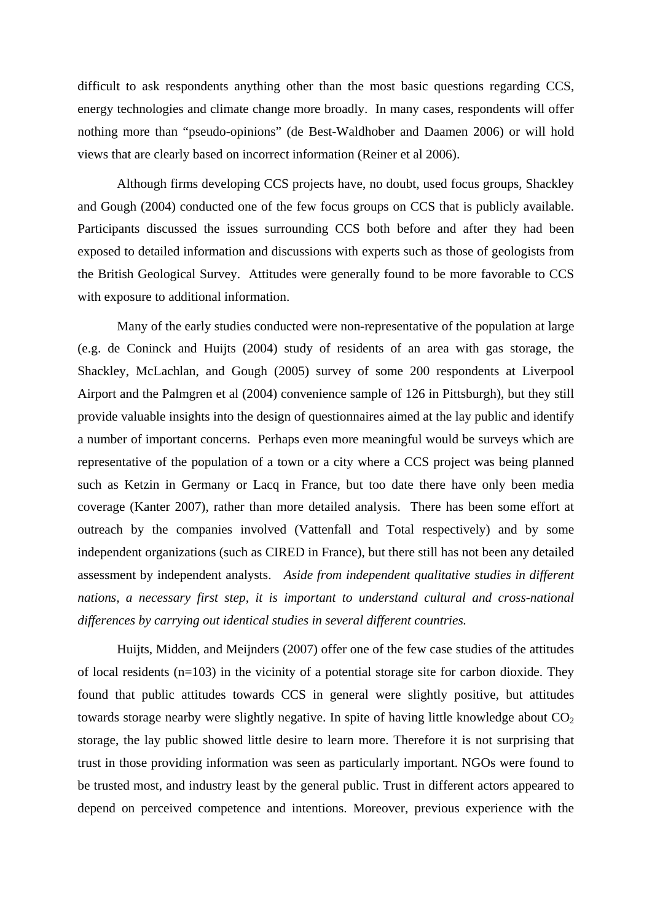difficult to ask respondents anything other than the most basic questions regarding CCS, energy technologies and climate change more broadly. In many cases, respondents will offer nothing more than "pseudo-opinions" (de Best-Waldhober and Daamen 2006) or will hold views that are clearly based on incorrect information (Reiner et al 2006).

Although firms developing CCS projects have, no doubt, used focus groups, Shackley and Gough (2004) conducted one of the few focus groups on CCS that is publicly available. Participants discussed the issues surrounding CCS both before and after they had been exposed to detailed information and discussions with experts such as those of geologists from the British Geological Survey. Attitudes were generally found to be more favorable to CCS with exposure to additional information.

Many of the early studies conducted were non-representative of the population at large (e.g. de Coninck and Huijts (2004) study of residents of an area with gas storage, the Shackley, McLachlan, and Gough (2005) survey of some 200 respondents at Liverpool Airport and the Palmgren et al (2004) convenience sample of 126 in Pittsburgh), but they still provide valuable insights into the design of questionnaires aimed at the lay public and identify a number of important concerns. Perhaps even more meaningful would be surveys which are representative of the population of a town or a city where a CCS project was being planned such as Ketzin in Germany or Lacq in France, but too date there have only been media coverage (Kanter 2007), rather than more detailed analysis. There has been some effort at outreach by the companies involved (Vattenfall and Total respectively) and by some independent organizations (such as CIRED in France), but there still has not been any detailed assessment by independent analysts. *Aside from independent qualitative studies in different nations, a necessary first step, it is important to understand cultural and cross-national differences by carrying out identical studies in several different countries.*

Huijts, Midden, and Meijnders (2007) offer one of the few case studies of the attitudes of local residents (n=103) in the vicinity of a potential storage site for carbon dioxide. They found that public attitudes towards CCS in general were slightly positive, but attitudes towards storage nearby were slightly negative. In spite of having little knowledge about  $CO<sub>2</sub>$ storage, the lay public showed little desire to learn more. Therefore it is not surprising that trust in those providing information was seen as particularly important. NGOs were found to be trusted most, and industry least by the general public. Trust in different actors appeared to depend on perceived competence and intentions. Moreover, previous experience with the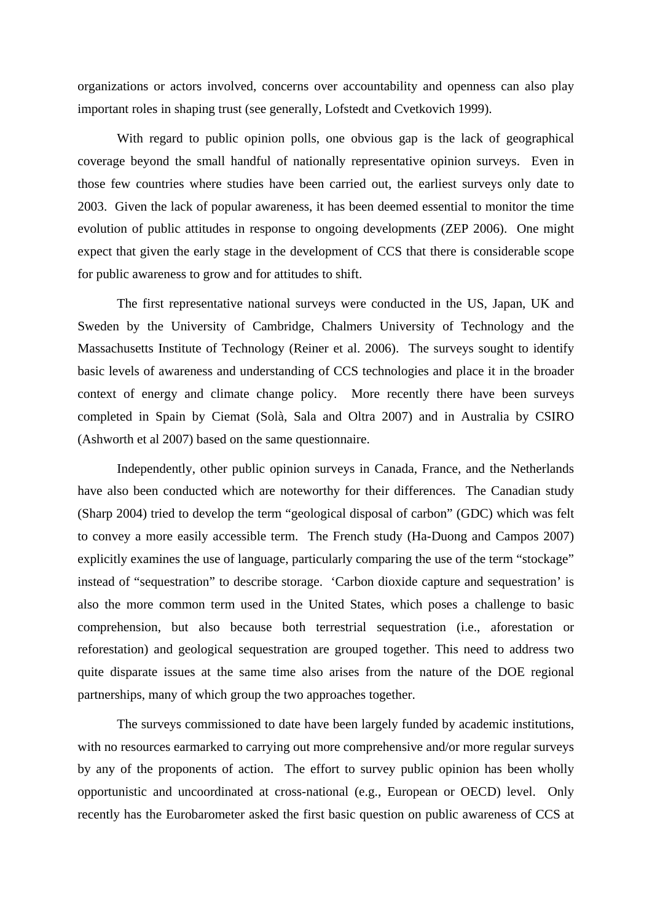organizations or actors involved, concerns over accountability and openness can also play important roles in shaping trust (see generally, Lofstedt and Cvetkovich 1999).

With regard to public opinion polls, one obvious gap is the lack of geographical coverage beyond the small handful of nationally representative opinion surveys. Even in those few countries where studies have been carried out, the earliest surveys only date to 2003. Given the lack of popular awareness, it has been deemed essential to monitor the time evolution of public attitudes in response to ongoing developments (ZEP 2006). One might expect that given the early stage in the development of CCS that there is considerable scope for public awareness to grow and for attitudes to shift.

The first representative national surveys were conducted in the US, Japan, UK and Sweden by the University of Cambridge, Chalmers University of Technology and the Massachusetts Institute of Technology (Reiner et al. 2006). The surveys sought to identify basic levels of awareness and understanding of CCS technologies and place it in the broader context of energy and climate change policy. More recently there have been surveys completed in Spain by Ciemat (Solà, Sala and Oltra 2007) and in Australia by CSIRO (Ashworth et al 2007) based on the same questionnaire.

Independently, other public opinion surveys in Canada, France, and the Netherlands have also been conducted which are noteworthy for their differences. The Canadian study (Sharp 2004) tried to develop the term "geological disposal of carbon" (GDC) which was felt to convey a more easily accessible term. The French study (Ha-Duong and Campos 2007) explicitly examines the use of language, particularly comparing the use of the term "stockage" instead of "sequestration" to describe storage. 'Carbon dioxide capture and sequestration' is also the more common term used in the United States, which poses a challenge to basic comprehension, but also because both terrestrial sequestration (i.e., aforestation or reforestation) and geological sequestration are grouped together. This need to address two quite disparate issues at the same time also arises from the nature of the DOE regional partnerships, many of which group the two approaches together.

The surveys commissioned to date have been largely funded by academic institutions, with no resources earmarked to carrying out more comprehensive and/or more regular surveys by any of the proponents of action. The effort to survey public opinion has been wholly opportunistic and uncoordinated at cross-national (e.g., European or OECD) level. Only recently has the Eurobarometer asked the first basic question on public awareness of CCS at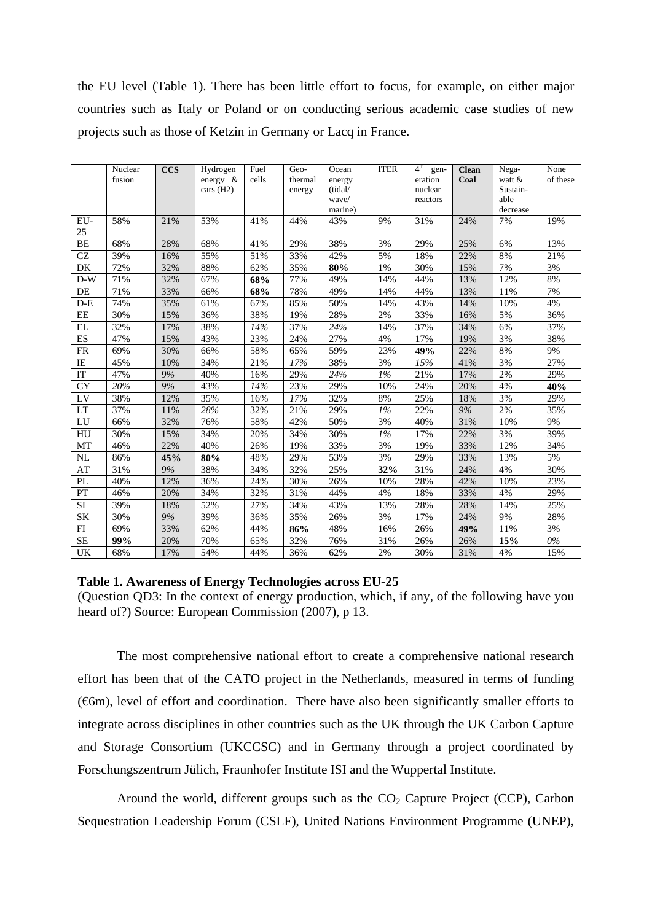the EU level (Table 1). There has been little effort to focus, for example, on either major countries such as Italy or Poland or on conducting serious academic case studies of new projects such as those of Ketzin in Germany or Lacq in France.

|                     | Nuclear<br>fusion | <b>CCS</b> | Hydrogen<br>energy $\&$<br>cars (H2) | Fuel<br>cells | Geo-<br>thermal<br>energy | Ocean<br>energy<br>(tidal/<br>wave/<br>marine) | <b>ITER</b>      | 4 <sup>th</sup><br>gen-<br>eration<br>nuclear<br>reactors | <b>Clean</b><br>Coal | Nega-<br>watt &<br>Sustain-<br>able<br>decrease | None<br>of these |
|---------------------|-------------------|------------|--------------------------------------|---------------|---------------------------|------------------------------------------------|------------------|-----------------------------------------------------------|----------------------|-------------------------------------------------|------------------|
| EU-<br>25           | 58%               | 21%        | 53%                                  | 41%           | 44%                       | 43%                                            | 9%               | 31%                                                       | 24%                  | 7%                                              | 19%              |
| BE                  | 68%               | 28%        | 68%                                  | 41%           | 29%                       | 38%                                            | 3%               | 29%                                                       | 25%                  | 6%                                              | 13%              |
| $\operatorname{CZ}$ | 39%               | 16%        | 55%                                  | 51%           | 33%                       | 42%                                            | 5%               | 18%                                                       | 22%                  | 8%                                              | 21%              |
| DK                  | 72%               | 32%        | 88%                                  | 62%           | 35%                       | $80\%$                                         | 1%               | 30%                                                       | 15%                  | 7%                                              | 3%               |
| $D-W$               | 71%               | 32%        | 67%                                  | 68%           | 77%                       | 49%                                            | 14%              | 44%                                                       | 13%                  | 12%                                             | 8%               |
| DE                  | 71%               | 33%        | 66%                                  | 68%           | 78%                       | 49%                                            | 14%              | 44%                                                       | 13%                  | 11%                                             | 7%               |
| $D-E$               | 74%               | 35%        | 61%                                  | 67%           | 85%                       | 50%                                            | 14%              | 43%                                                       | 14%                  | 10%                                             | 4%               |
| EE                  | 30%               | 15%        | 36%                                  | 38%           | 19%                       | 28%                                            | 2%               | 33%                                                       | 16%                  | 5%                                              | 36%              |
| EL                  | 32%               | 17%        | 38%                                  | 14%           | 37%                       | 24%                                            | 14%              | 37%                                                       | 34%                  | 6%                                              | 37%              |
| ES                  | 47%               | 15%        | 43%                                  | 23%           | 24%                       | 27%                                            | 4%               | 17%                                                       | 19%                  | 3%                                              | 38%              |
| <b>FR</b>           | 69%               | 30%        | 66%                                  | 58%           | 65%                       | 59%                                            | 23%              | 49%                                                       | 22%                  | 8%                                              | 9%               |
| IE                  | 45%               | 10%        | 34%                                  | 21%           | 17%                       | 38%                                            | 3%               | 15%                                                       | 41%                  | 3%                                              | 27%              |
| IT                  | 47%               | 9%         | 40%                                  | 16%           | 29%                       | 24%                                            | 1%               | 21%                                                       | 17%                  | 2%                                              | 29%              |
| <b>CY</b>           | 20%               | 9%         | 43%                                  | 14%           | 23%                       | 29%                                            | 10%              | 24%                                                       | 20%                  | 4%                                              | 40%              |
| LV                  | 38%               | 12%        | 35%                                  | 16%           | 17%                       | 32%                                            | 8%               | 25%                                                       | 18%                  | 3%                                              | 29%              |
| LT                  | 37%               | 11%        | 28%                                  | 32%           | 21%                       | 29%                                            | $1\%$            | 22%                                                       | 9%                   | 2%                                              | 35%              |
| LU                  | 66%               | 32%        | 76%                                  | 58%           | 42%                       | 50%                                            | 3%               | 40%                                                       | 31%                  | 10%                                             | 9%               |
| HU                  | 30%               | 15%        | 34%                                  | 20%           | 34%                       | 30%                                            | $\overline{I\%}$ | 17%                                                       | 22%                  | 3%                                              | 39%              |
| MT                  | 46%               | 22%        | 40%                                  | 26%           | 19%                       | 33%                                            | 3%               | 19%                                                       | 33%                  | 12%                                             | 34%              |
| <b>NL</b>           | 86%               | 45%        | 80%                                  | 48%           | 29%                       | 53%                                            | 3%               | 29%                                                       | 33%                  | 13%                                             | 5%               |
| AT                  | 31%               | 9%         | 38%                                  | 34%           | 32%                       | 25%                                            | 32%              | 31%                                                       | 24%                  | 4%                                              | 30%              |
| PL                  | 40%               | 12%        | 36%                                  | 24%           | 30%                       | 26%                                            | 10%              | 28%                                                       | 42%                  | 10%                                             | 23%              |
| PT                  | 46%               | 20%        | 34%                                  | 32%           | 31%                       | 44%                                            | 4%               | 18%                                                       | 33%                  | 4%                                              | 29%              |
| SI                  | 39%               | 18%        | 52%                                  | 27%           | 34%                       | 43%                                            | 13%              | 28%                                                       | 28%                  | 14%                                             | 25%              |
| SK                  | 30%               | 9%         | 39%                                  | 36%           | 35%                       | 26%                                            | 3%               | 17%                                                       | 24%                  | 9%                                              | 28%              |
| FI                  | 69%               | 33%        | 62%                                  | 44%           | 86%                       | 48%                                            | 16%              | 26%                                                       | 49%                  | 11%                                             | 3%               |
| <b>SE</b>           | 99%               | 20%        | 70%                                  | 65%           | 32%                       | 76%                                            | 31%              | 26%                                                       | 26%                  | 15%                                             | $0\%$            |
| UK                  | 68%               | 17%        | 54%                                  | 44%           | 36%                       | 62%                                            | 2%               | 30%                                                       | 31%                  | 4%                                              | 15%              |

#### **Table 1. Awareness of Energy Technologies across EU-25**

(Question QD3: In the context of energy production, which, if any, of the following have you heard of?) Source: European Commission (2007), p 13.

The most comprehensive national effort to create a comprehensive national research effort has been that of the CATO project in the Netherlands, measured in terms of funding (€6m), level of effort and coordination. There have also been significantly smaller efforts to integrate across disciplines in other countries such as the UK through the UK Carbon Capture and Storage Consortium (UKCCSC) and in Germany through a project coordinated by Forschungszentrum Jülich, Fraunhofer Institute ISI and the Wuppertal Institute.

Around the world, different groups such as the  $CO<sub>2</sub>$  Capture Project (CCP), Carbon Sequestration Leadership Forum (CSLF), United Nations Environment Programme (UNEP),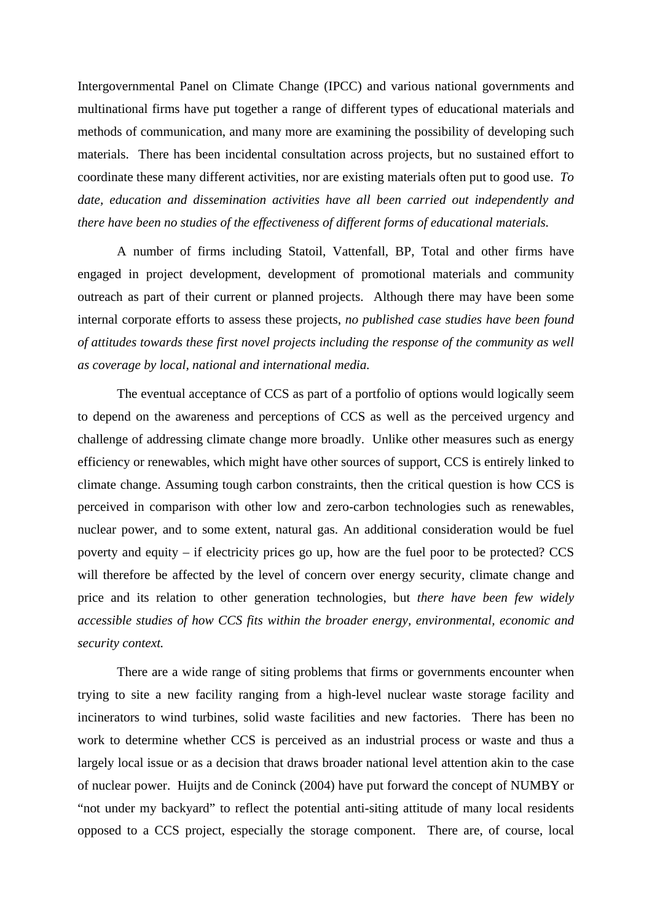Intergovernmental Panel on Climate Change (IPCC) and various national governments and multinational firms have put together a range of different types of educational materials and methods of communication, and many more are examining the possibility of developing such materials. There has been incidental consultation across projects, but no sustained effort to coordinate these many different activities, nor are existing materials often put to good use. *To date, education and dissemination activities have all been carried out independently and there have been no studies of the effectiveness of different forms of educational materials.*

A number of firms including Statoil, Vattenfall, BP, Total and other firms have engaged in project development, development of promotional materials and community outreach as part of their current or planned projects. Although there may have been some internal corporate efforts to assess these projects, *no published case studies have been found of attitudes towards these first novel projects including the response of the community as well as coverage by local, national and international media.*

The eventual acceptance of CCS as part of a portfolio of options would logically seem to depend on the awareness and perceptions of CCS as well as the perceived urgency and challenge of addressing climate change more broadly. Unlike other measures such as energy efficiency or renewables, which might have other sources of support, CCS is entirely linked to climate change. Assuming tough carbon constraints, then the critical question is how CCS is perceived in comparison with other low and zero-carbon technologies such as renewables, nuclear power, and to some extent, natural gas. An additional consideration would be fuel poverty and equity – if electricity prices go up, how are the fuel poor to be protected? CCS will therefore be affected by the level of concern over energy security, climate change and price and its relation to other generation technologies, but *there have been few widely accessible studies of how CCS fits within the broader energy, environmental, economic and security context.* 

There are a wide range of siting problems that firms or governments encounter when trying to site a new facility ranging from a high-level nuclear waste storage facility and incinerators to wind turbines, solid waste facilities and new factories. There has been no work to determine whether CCS is perceived as an industrial process or waste and thus a largely local issue or as a decision that draws broader national level attention akin to the case of nuclear power. Huijts and de Coninck (2004) have put forward the concept of NUMBY or "not under my backyard" to reflect the potential anti-siting attitude of many local residents opposed to a CCS project, especially the storage component. There are, of course, local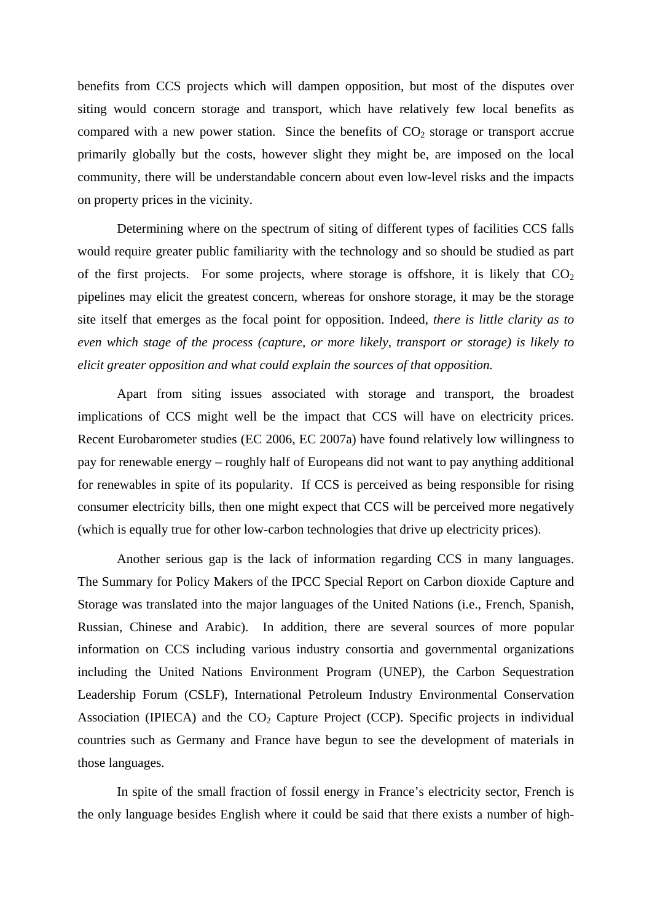benefits from CCS projects which will dampen opposition, but most of the disputes over siting would concern storage and transport, which have relatively few local benefits as compared with a new power station. Since the benefits of  $CO<sub>2</sub>$  storage or transport accrue primarily globally but the costs, however slight they might be, are imposed on the local community, there will be understandable concern about even low-level risks and the impacts on property prices in the vicinity.

Determining where on the spectrum of siting of different types of facilities CCS falls would require greater public familiarity with the technology and so should be studied as part of the first projects. For some projects, where storage is offshore, it is likely that  $CO<sub>2</sub>$ pipelines may elicit the greatest concern, whereas for onshore storage, it may be the storage site itself that emerges as the focal point for opposition. Indeed, *there is little clarity as to even which stage of the process (capture, or more likely, transport or storage) is likely to elicit greater opposition and what could explain the sources of that opposition.*

Apart from siting issues associated with storage and transport, the broadest implications of CCS might well be the impact that CCS will have on electricity prices. Recent Eurobarometer studies (EC 2006, EC 2007a) have found relatively low willingness to pay for renewable energy – roughly half of Europeans did not want to pay anything additional for renewables in spite of its popularity. If CCS is perceived as being responsible for rising consumer electricity bills, then one might expect that CCS will be perceived more negatively (which is equally true for other low-carbon technologies that drive up electricity prices).

Another serious gap is the lack of information regarding CCS in many languages. The Summary for Policy Makers of the IPCC Special Report on Carbon dioxide Capture and Storage was translated into the major languages of the United Nations (i.e., French, Spanish, Russian, Chinese and Arabic). In addition, there are several sources of more popular information on CCS including various industry consortia and governmental organizations including the United Nations Environment Program (UNEP), the Carbon Sequestration Leadership Forum (CSLF), International Petroleum Industry Environmental Conservation Association (IPIECA) and the  $CO<sub>2</sub>$  Capture Project (CCP). Specific projects in individual countries such as Germany and France have begun to see the development of materials in those languages.

In spite of the small fraction of fossil energy in France's electricity sector, French is the only language besides English where it could be said that there exists a number of high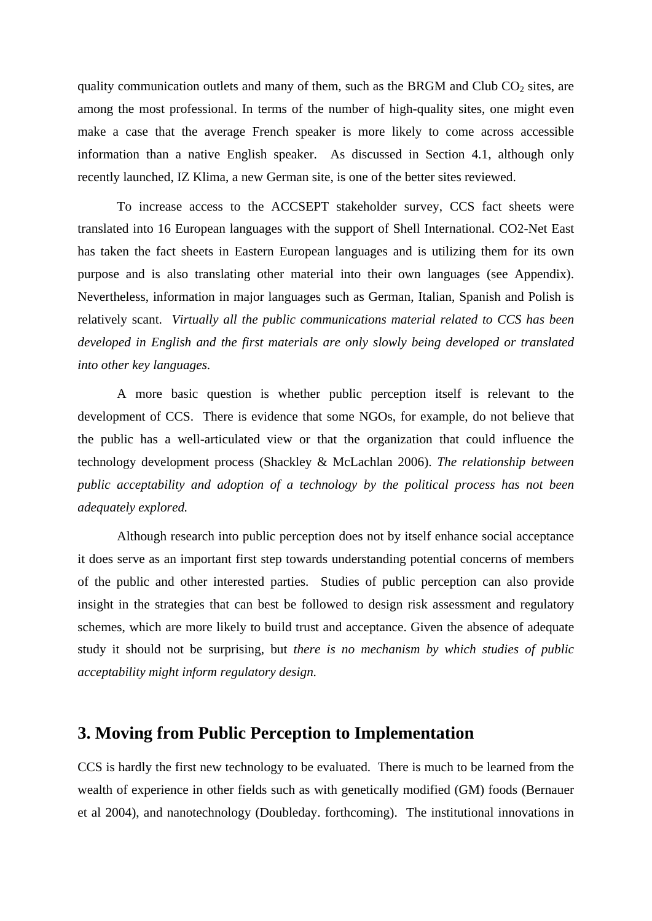quality communication outlets and many of them, such as the BRGM and Club  $CO<sub>2</sub>$  sites, are among the most professional. In terms of the number of high-quality sites, one might even make a case that the average French speaker is more likely to come across accessible information than a native English speaker. As discussed in Section 4.1, although only recently launched, IZ Klima, a new German site, is one of the better sites reviewed.

To increase access to the ACCSEPT stakeholder survey, CCS fact sheets were translated into 16 European languages with the support of Shell International. CO2-Net East has taken the fact sheets in Eastern European languages and is utilizing them for its own purpose and is also translating other material into their own languages (see Appendix). Nevertheless, information in major languages such as German, Italian, Spanish and Polish is relatively scant. *Virtually all the public communications material related to CCS has been developed in English and the first materials are only slowly being developed or translated into other key languages.*

A more basic question is whether public perception itself is relevant to the development of CCS. There is evidence that some NGOs, for example, do not believe that the public has a well-articulated view or that the organization that could influence the technology development process (Shackley & McLachlan 2006). *The relationship between public acceptability and adoption of a technology by the political process has not been adequately explored.* 

Although research into public perception does not by itself enhance social acceptance it does serve as an important first step towards understanding potential concerns of members of the public and other interested parties. Studies of public perception can also provide insight in the strategies that can best be followed to design risk assessment and regulatory schemes, which are more likely to build trust and acceptance. Given the absence of adequate study it should not be surprising, but *there is no mechanism by which studies of public acceptability might inform regulatory design.*

# **3. Moving from Public Perception to Implementation**

CCS is hardly the first new technology to be evaluated. There is much to be learned from the wealth of experience in other fields such as with genetically modified (GM) foods (Bernauer et al 2004), and nanotechnology (Doubleday. forthcoming). The institutional innovations in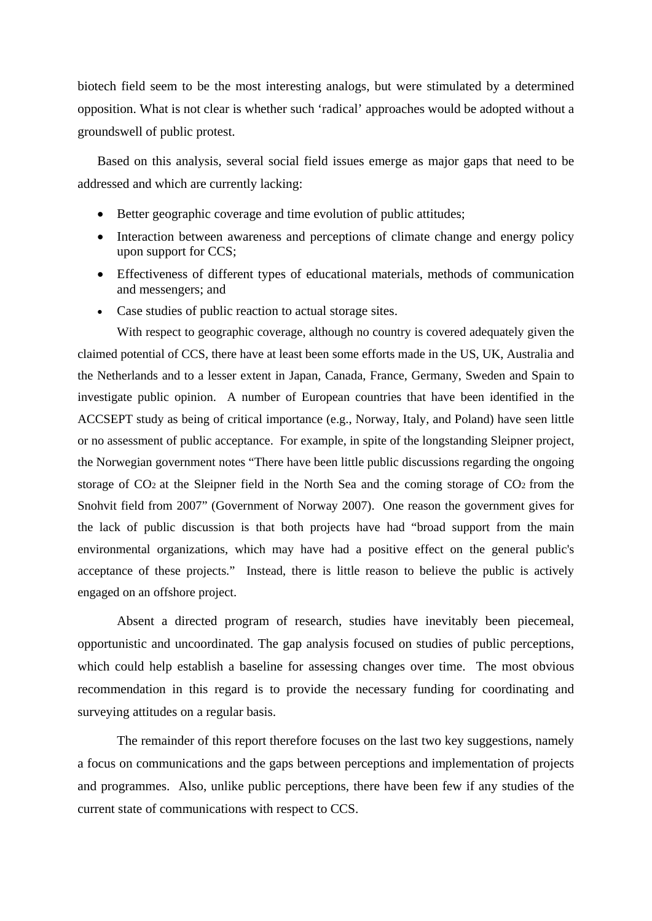biotech field seem to be the most interesting analogs, but were stimulated by a determined opposition. What is not clear is whether such 'radical' approaches would be adopted without a groundswell of public protest.

 Based on this analysis, several social field issues emerge as major gaps that need to be addressed and which are currently lacking:

- Better geographic coverage and time evolution of public attitudes;
- Interaction between awareness and perceptions of climate change and energy policy upon support for CCS;
- Effectiveness of different types of educational materials, methods of communication and messengers; and
- Case studies of public reaction to actual storage sites.

With respect to geographic coverage, although no country is covered adequately given the claimed potential of CCS, there have at least been some efforts made in the US, UK, Australia and the Netherlands and to a lesser extent in Japan, Canada, France, Germany, Sweden and Spain to investigate public opinion. A number of European countries that have been identified in the ACCSEPT study as being of critical importance (e.g., Norway, Italy, and Poland) have seen little or no assessment of public acceptance. For example, in spite of the longstanding Sleipner project, the Norwegian government notes "There have been little public discussions regarding the ongoing storage of CO2 at the Sleipner field in the North Sea and the coming storage of CO2 from the Snohvit field from 2007" (Government of Norway 2007). One reason the government gives for the lack of public discussion is that both projects have had "broad support from the main environmental organizations, which may have had a positive effect on the general public's acceptance of these projects." Instead, there is little reason to believe the public is actively engaged on an offshore project.

Absent a directed program of research, studies have inevitably been piecemeal, opportunistic and uncoordinated. The gap analysis focused on studies of public perceptions, which could help establish a baseline for assessing changes over time. The most obvious recommendation in this regard is to provide the necessary funding for coordinating and surveying attitudes on a regular basis.

The remainder of this report therefore focuses on the last two key suggestions, namely a focus on communications and the gaps between perceptions and implementation of projects and programmes. Also, unlike public perceptions, there have been few if any studies of the current state of communications with respect to CCS.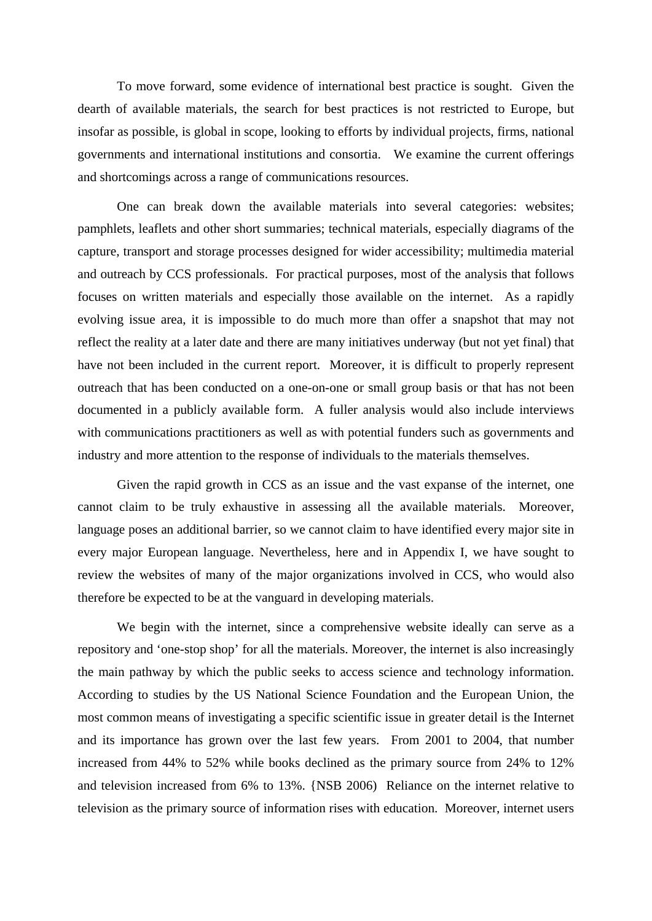To move forward, some evidence of international best practice is sought. Given the dearth of available materials, the search for best practices is not restricted to Europe, but insofar as possible, is global in scope, looking to efforts by individual projects, firms, national governments and international institutions and consortia. We examine the current offerings and shortcomings across a range of communications resources.

One can break down the available materials into several categories: websites; pamphlets, leaflets and other short summaries; technical materials, especially diagrams of the capture, transport and storage processes designed for wider accessibility; multimedia material and outreach by CCS professionals. For practical purposes, most of the analysis that follows focuses on written materials and especially those available on the internet. As a rapidly evolving issue area, it is impossible to do much more than offer a snapshot that may not reflect the reality at a later date and there are many initiatives underway (but not yet final) that have not been included in the current report. Moreover, it is difficult to properly represent outreach that has been conducted on a one-on-one or small group basis or that has not been documented in a publicly available form. A fuller analysis would also include interviews with communications practitioners as well as with potential funders such as governments and industry and more attention to the response of individuals to the materials themselves.

Given the rapid growth in CCS as an issue and the vast expanse of the internet, one cannot claim to be truly exhaustive in assessing all the available materials. Moreover, language poses an additional barrier, so we cannot claim to have identified every major site in every major European language. Nevertheless, here and in Appendix I, we have sought to review the websites of many of the major organizations involved in CCS, who would also therefore be expected to be at the vanguard in developing materials.

We begin with the internet, since a comprehensive website ideally can serve as a repository and 'one-stop shop' for all the materials. Moreover, the internet is also increasingly the main pathway by which the public seeks to access science and technology information. According to studies by the US National Science Foundation and the European Union, the most common means of investigating a specific scientific issue in greater detail is the Internet and its importance has grown over the last few years. From 2001 to 2004, that number increased from 44% to 52% while books declined as the primary source from 24% to 12% and television increased from 6% to 13%. {NSB 2006) Reliance on the internet relative to television as the primary source of information rises with education. Moreover, internet users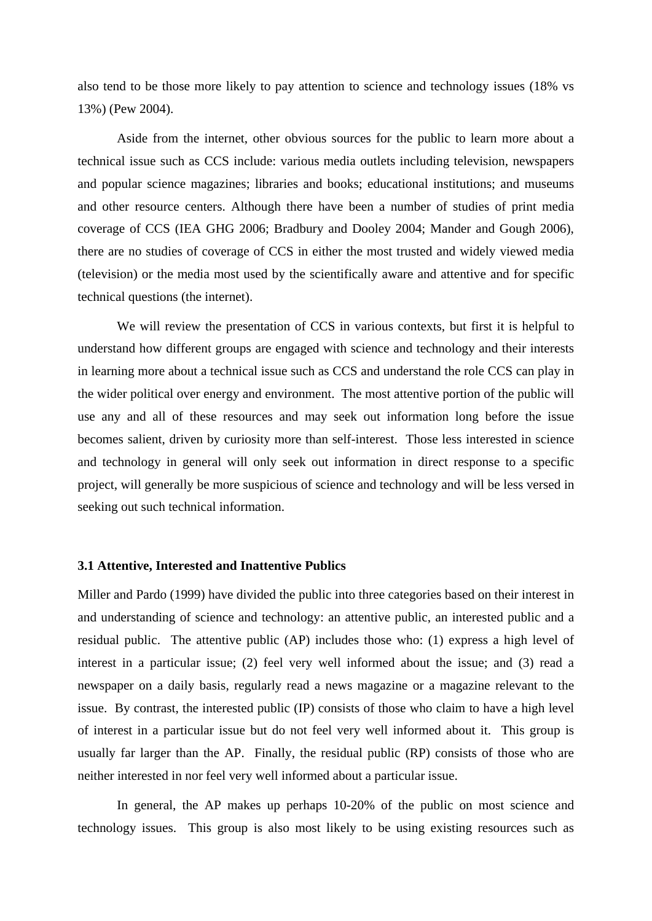also tend to be those more likely to pay attention to science and technology issues (18% vs 13%) (Pew 2004).

Aside from the internet, other obvious sources for the public to learn more about a technical issue such as CCS include: various media outlets including television, newspapers and popular science magazines; libraries and books; educational institutions; and museums and other resource centers. Although there have been a number of studies of print media coverage of CCS (IEA GHG 2006; Bradbury and Dooley 2004; Mander and Gough 2006), there are no studies of coverage of CCS in either the most trusted and widely viewed media (television) or the media most used by the scientifically aware and attentive and for specific technical questions (the internet).

We will review the presentation of CCS in various contexts, but first it is helpful to understand how different groups are engaged with science and technology and their interests in learning more about a technical issue such as CCS and understand the role CCS can play in the wider political over energy and environment. The most attentive portion of the public will use any and all of these resources and may seek out information long before the issue becomes salient, driven by curiosity more than self-interest. Those less interested in science and technology in general will only seek out information in direct response to a specific project, will generally be more suspicious of science and technology and will be less versed in seeking out such technical information.

### **3.1 Attentive, Interested and Inattentive Publics**

Miller and Pardo (1999) have divided the public into three categories based on their interest in and understanding of science and technology: an attentive public, an interested public and a residual public. The attentive public (AP) includes those who: (1) express a high level of interest in a particular issue; (2) feel very well informed about the issue; and (3) read a newspaper on a daily basis, regularly read a news magazine or a magazine relevant to the issue. By contrast, the interested public (IP) consists of those who claim to have a high level of interest in a particular issue but do not feel very well informed about it. This group is usually far larger than the AP. Finally, the residual public (RP) consists of those who are neither interested in nor feel very well informed about a particular issue.

In general, the AP makes up perhaps 10-20% of the public on most science and technology issues. This group is also most likely to be using existing resources such as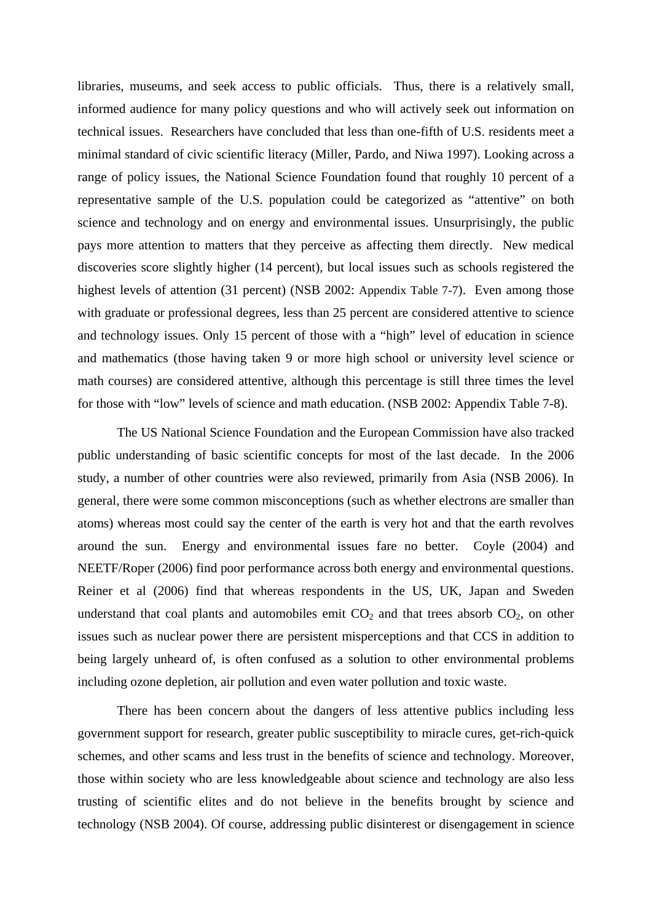libraries, museums, and seek access to public officials. Thus, there is a relatively small, informed audience for many policy questions and who will actively seek out information on technical issues. Researchers have concluded that less than one-fifth of U.S. residents meet a minimal standard of civic scientific literacy (Miller, Pardo, and Niwa 1997). Looking across a range of policy issues, the National Science Foundation found that roughly 10 percent of a representative sample of the U.S. population could be categorized as "attentive" on both science and technology and on energy and environmental issues. Unsurprisingly, the public pays more attention to matters that they perceive as affecting them directly. New medical discoveries score slightly higher (14 percent), but local issues such as schools registered the highest levels of attention (31 percent) (NSB 2002: Appendix Table 7-7). Even among those with graduate or professional degrees, less than 25 percent are considered attentive to science and technology issues. Only 15 percent of those with a "high" level of education in science and mathematics (those having taken 9 or more high school or university level science or math courses) are considered attentive, although this percentage is still three times the level for those with "low" levels of science and math education. (NSB 2002: Appendix Table 7-8).

The US National Science Foundation and the European Commission have also tracked public understanding of basic scientific concepts for most of the last decade. In the 2006 study, a number of other countries were also reviewed, primarily from Asia (NSB 2006). In general, there were some common misconceptions (such as whether electrons are smaller than atoms) whereas most could say the center of the earth is very hot and that the earth revolves around the sun. Energy and environmental issues fare no better. Coyle (2004) and NEETF/Roper (2006) find poor performance across both energy and environmental questions. Reiner et al (2006) find that whereas respondents in the US, UK, Japan and Sweden understand that coal plants and automobiles emit  $CO<sub>2</sub>$  and that trees absorb  $CO<sub>2</sub>$ , on other issues such as nuclear power there are persistent misperceptions and that CCS in addition to being largely unheard of, is often confused as a solution to other environmental problems including ozone depletion, air pollution and even water pollution and toxic waste.

There has been concern about the dangers of less attentive publics including less government support for research, greater public susceptibility to miracle cures, get-rich-quick schemes, and other scams and less trust in the benefits of science and technology. Moreover, those within society who are less knowledgeable about science and technology are also less trusting of scientific elites and do not believe in the benefits brought by science and technology (NSB 2004). Of course, addressing public disinterest or disengagement in science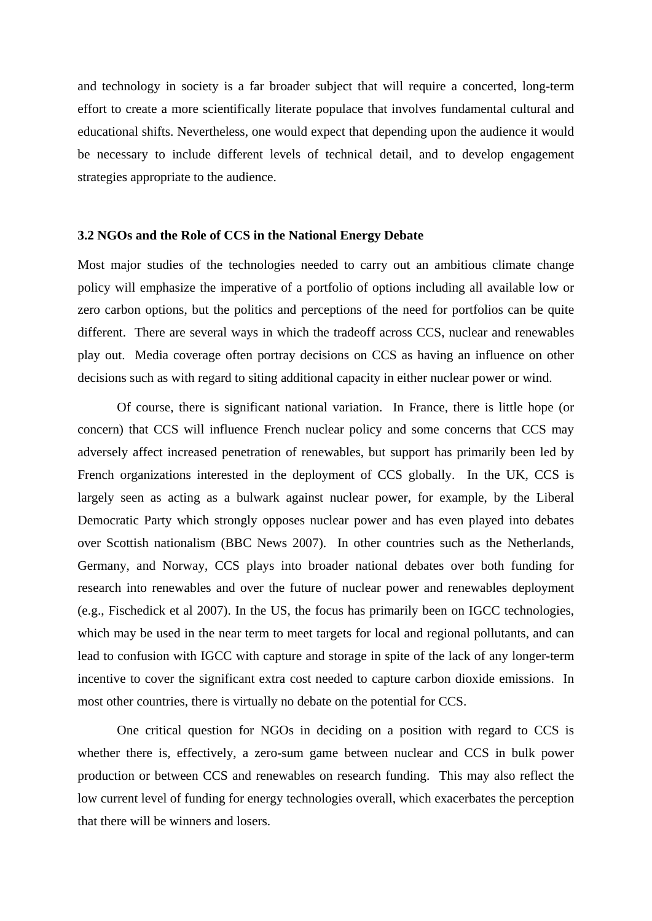and technology in society is a far broader subject that will require a concerted, long-term effort to create a more scientifically literate populace that involves fundamental cultural and educational shifts. Nevertheless, one would expect that depending upon the audience it would be necessary to include different levels of technical detail, and to develop engagement strategies appropriate to the audience.

#### **3.2 NGOs and the Role of CCS in the National Energy Debate**

Most major studies of the technologies needed to carry out an ambitious climate change policy will emphasize the imperative of a portfolio of options including all available low or zero carbon options, but the politics and perceptions of the need for portfolios can be quite different. There are several ways in which the tradeoff across CCS, nuclear and renewables play out. Media coverage often portray decisions on CCS as having an influence on other decisions such as with regard to siting additional capacity in either nuclear power or wind.

Of course, there is significant national variation. In France, there is little hope (or concern) that CCS will influence French nuclear policy and some concerns that CCS may adversely affect increased penetration of renewables, but support has primarily been led by French organizations interested in the deployment of CCS globally. In the UK, CCS is largely seen as acting as a bulwark against nuclear power, for example, by the Liberal Democratic Party which strongly opposes nuclear power and has even played into debates over Scottish nationalism (BBC News 2007). In other countries such as the Netherlands, Germany, and Norway, CCS plays into broader national debates over both funding for research into renewables and over the future of nuclear power and renewables deployment (e.g., Fischedick et al 2007). In the US, the focus has primarily been on IGCC technologies, which may be used in the near term to meet targets for local and regional pollutants, and can lead to confusion with IGCC with capture and storage in spite of the lack of any longer-term incentive to cover the significant extra cost needed to capture carbon dioxide emissions. In most other countries, there is virtually no debate on the potential for CCS.

One critical question for NGOs in deciding on a position with regard to CCS is whether there is, effectively, a zero-sum game between nuclear and CCS in bulk power production or between CCS and renewables on research funding. This may also reflect the low current level of funding for energy technologies overall, which exacerbates the perception that there will be winners and losers.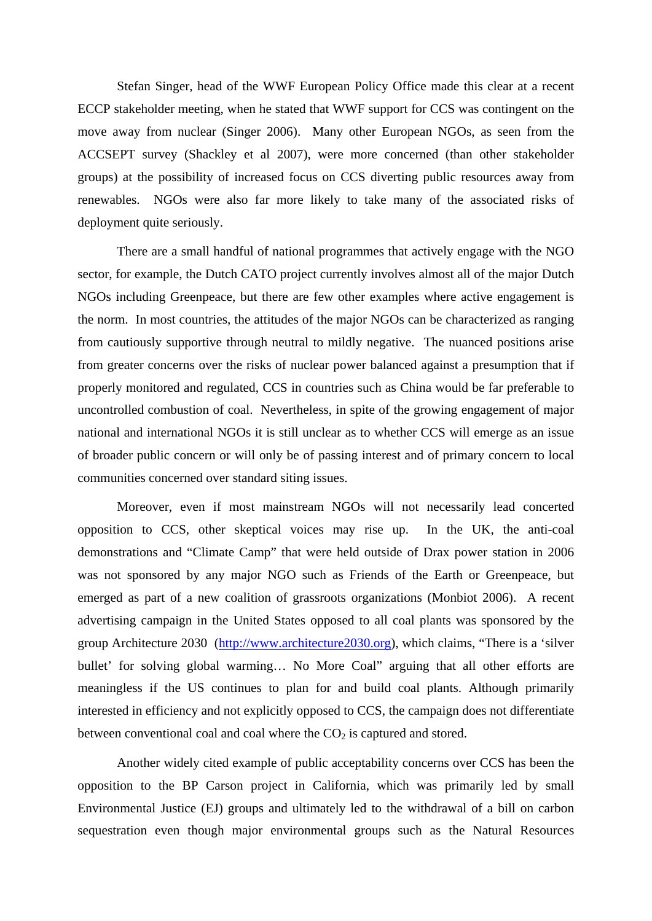Stefan Singer, head of the WWF European Policy Office made this clear at a recent ECCP stakeholder meeting, when he stated that WWF support for CCS was contingent on the move away from nuclear (Singer 2006). Many other European NGOs, as seen from the ACCSEPT survey (Shackley et al 2007), were more concerned (than other stakeholder groups) at the possibility of increased focus on CCS diverting public resources away from renewables. NGOs were also far more likely to take many of the associated risks of deployment quite seriously.

There are a small handful of national programmes that actively engage with the NGO sector, for example, the Dutch CATO project currently involves almost all of the major Dutch NGOs including Greenpeace, but there are few other examples where active engagement is the norm. In most countries, the attitudes of the major NGOs can be characterized as ranging from cautiously supportive through neutral to mildly negative. The nuanced positions arise from greater concerns over the risks of nuclear power balanced against a presumption that if properly monitored and regulated, CCS in countries such as China would be far preferable to uncontrolled combustion of coal. Nevertheless, in spite of the growing engagement of major national and international NGOs it is still unclear as to whether CCS will emerge as an issue of broader public concern or will only be of passing interest and of primary concern to local communities concerned over standard siting issues.

Moreover, even if most mainstream NGOs will not necessarily lead concerted opposition to CCS, other skeptical voices may rise up. In the UK, the anti-coal demonstrations and "Climate Camp" that were held outside of Drax power station in 2006 was not sponsored by any major NGO such as Friends of the Earth or Greenpeace, but emerged as part of a new coalition of grassroots organizations (Monbiot 2006). A recent advertising campaign in the United States opposed to all coal plants was sponsored by the group Architecture 2030 (http://www.architecture2030.org), which claims, "There is a 'silver bullet' for solving global warming… No More Coal" arguing that all other efforts are meaningless if the US continues to plan for and build coal plants. Although primarily interested in efficiency and not explicitly opposed to CCS, the campaign does not differentiate between conventional coal and coal where the  $CO<sub>2</sub>$  is captured and stored.

Another widely cited example of public acceptability concerns over CCS has been the opposition to the BP Carson project in California, which was primarily led by small Environmental Justice (EJ) groups and ultimately led to the withdrawal of a bill on carbon sequestration even though major environmental groups such as the Natural Resources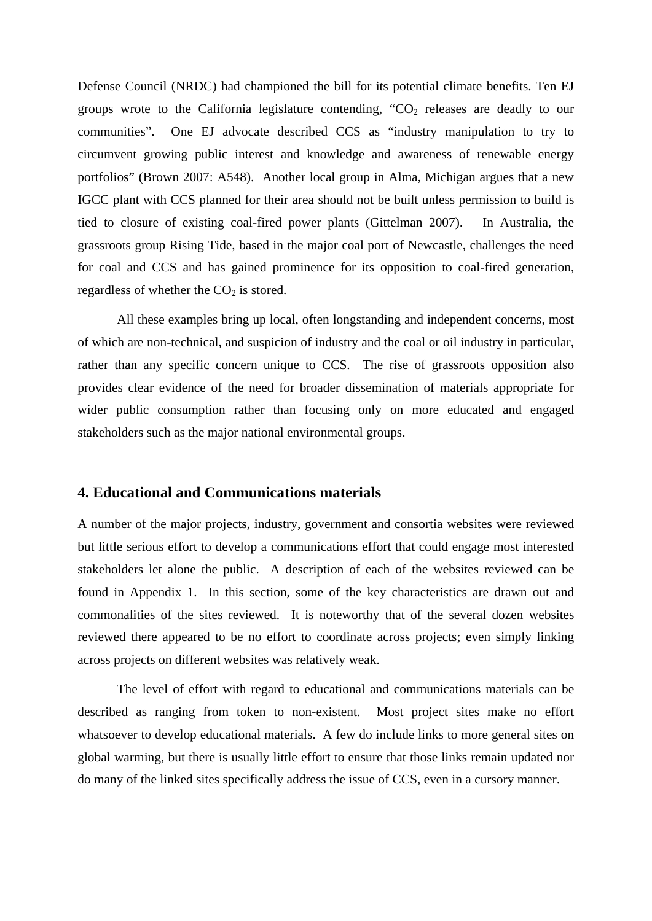Defense Council (NRDC) had championed the bill for its potential climate benefits. Ten EJ groups wrote to the California legislature contending, " $CO<sub>2</sub>$  releases are deadly to our communities". One EJ advocate described CCS as "industry manipulation to try to circumvent growing public interest and knowledge and awareness of renewable energy portfolios" (Brown 2007: A548). Another local group in Alma, Michigan argues that a new IGCC plant with CCS planned for their area should not be built unless permission to build is tied to closure of existing coal-fired power plants (Gittelman 2007). In Australia, the grassroots group Rising Tide, based in the major coal port of Newcastle, challenges the need for coal and CCS and has gained prominence for its opposition to coal-fired generation, regardless of whether the  $CO<sub>2</sub>$  is stored.

All these examples bring up local, often longstanding and independent concerns, most of which are non-technical, and suspicion of industry and the coal or oil industry in particular, rather than any specific concern unique to CCS. The rise of grassroots opposition also provides clear evidence of the need for broader dissemination of materials appropriate for wider public consumption rather than focusing only on more educated and engaged stakeholders such as the major national environmental groups.

## **4. Educational and Communications materials**

A number of the major projects, industry, government and consortia websites were reviewed but little serious effort to develop a communications effort that could engage most interested stakeholders let alone the public. A description of each of the websites reviewed can be found in Appendix 1. In this section, some of the key characteristics are drawn out and commonalities of the sites reviewed. It is noteworthy that of the several dozen websites reviewed there appeared to be no effort to coordinate across projects; even simply linking across projects on different websites was relatively weak.

The level of effort with regard to educational and communications materials can be described as ranging from token to non-existent. Most project sites make no effort whatsoever to develop educational materials. A few do include links to more general sites on global warming, but there is usually little effort to ensure that those links remain updated nor do many of the linked sites specifically address the issue of CCS, even in a cursory manner.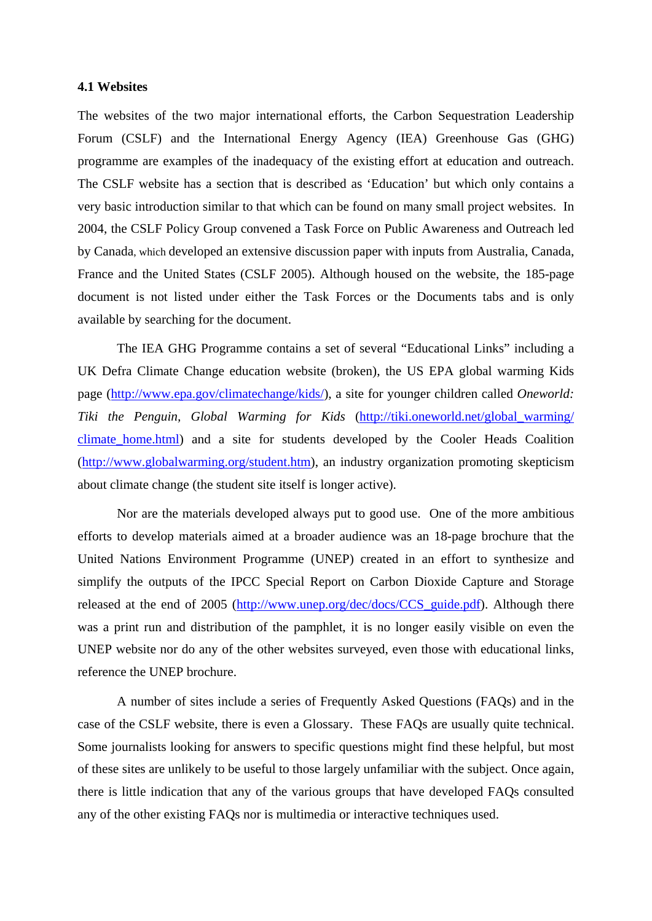#### **4.1 Websites**

The websites of the two major international efforts, the Carbon Sequestration Leadership Forum (CSLF) and the International Energy Agency (IEA) Greenhouse Gas (GHG) programme are examples of the inadequacy of the existing effort at education and outreach. The CSLF website has a section that is described as 'Education' but which only contains a very basic introduction similar to that which can be found on many small project websites. In 2004, the CSLF Policy Group convened a Task Force on Public Awareness and Outreach led by Canada, which developed an extensive discussion paper with inputs from Australia, Canada, France and the United States (CSLF 2005). Although housed on the website, the 185-page document is not listed under either the Task Forces or the Documents tabs and is only available by searching for the document.

The IEA GHG Programme contains a set of several "Educational Links" including a UK Defra Climate Change education website (broken), the US EPA global warming Kids page (http://www.epa.gov/climatechange/kids/), a site for younger children called *Oneworld: Tiki the Penguin, Global Warming for Kids* (http://tiki.oneworld.net/global\_warming/ climate home.html) and a site for students developed by the Cooler Heads Coalition (http://www.globalwarming.org/student.htm), an industry organization promoting skepticism about climate change (the student site itself is longer active).

Nor are the materials developed always put to good use. One of the more ambitious efforts to develop materials aimed at a broader audience was an 18-page brochure that the United Nations Environment Programme (UNEP) created in an effort to synthesize and simplify the outputs of the IPCC Special Report on Carbon Dioxide Capture and Storage released at the end of 2005 (http://www.unep.org/dec/docs/CCS\_guide.pdf). Although there was a print run and distribution of the pamphlet, it is no longer easily visible on even the UNEP website nor do any of the other websites surveyed, even those with educational links, reference the UNEP brochure.

A number of sites include a series of Frequently Asked Questions (FAQs) and in the case of the CSLF website, there is even a Glossary. These FAQs are usually quite technical. Some journalists looking for answers to specific questions might find these helpful, but most of these sites are unlikely to be useful to those largely unfamiliar with the subject. Once again, there is little indication that any of the various groups that have developed FAQs consulted any of the other existing FAQs nor is multimedia or interactive techniques used.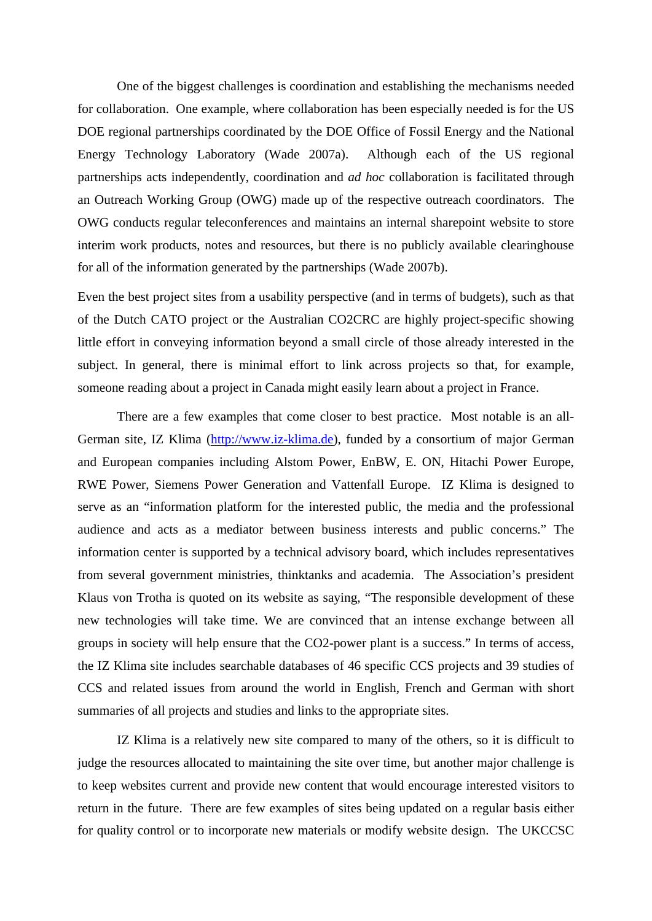One of the biggest challenges is coordination and establishing the mechanisms needed for collaboration. One example, where collaboration has been especially needed is for the US DOE regional partnerships coordinated by the DOE Office of Fossil Energy and the National Energy Technology Laboratory (Wade 2007a). Although each of the US regional partnerships acts independently, coordination and *ad hoc* collaboration is facilitated through an Outreach Working Group (OWG) made up of the respective outreach coordinators. The OWG conducts regular teleconferences and maintains an internal sharepoint website to store interim work products, notes and resources, but there is no publicly available clearinghouse for all of the information generated by the partnerships (Wade 2007b).

Even the best project sites from a usability perspective (and in terms of budgets), such as that of the Dutch CATO project or the Australian CO2CRC are highly project-specific showing little effort in conveying information beyond a small circle of those already interested in the subject. In general, there is minimal effort to link across projects so that, for example, someone reading about a project in Canada might easily learn about a project in France.

There are a few examples that come closer to best practice. Most notable is an all-German site, IZ Klima (http://www.iz-klima.de), funded by a consortium of major German and European companies including Alstom Power, EnBW, E. ON, Hitachi Power Europe, RWE Power, Siemens Power Generation and Vattenfall Europe. IZ Klima is designed to serve as an "information platform for the interested public, the media and the professional audience and acts as a mediator between business interests and public concerns." The information center is supported by a technical advisory board, which includes representatives from several government ministries, thinktanks and academia. The Association's president Klaus von Trotha is quoted on its website as saying, "The responsible development of these new technologies will take time. We are convinced that an intense exchange between all groups in society will help ensure that the CO2-power plant is a success." In terms of access, the IZ Klima site includes searchable databases of 46 specific CCS projects and 39 studies of CCS and related issues from around the world in English, French and German with short summaries of all projects and studies and links to the appropriate sites.

IZ Klima is a relatively new site compared to many of the others, so it is difficult to judge the resources allocated to maintaining the site over time, but another major challenge is to keep websites current and provide new content that would encourage interested visitors to return in the future. There are few examples of sites being updated on a regular basis either for quality control or to incorporate new materials or modify website design. The UKCCSC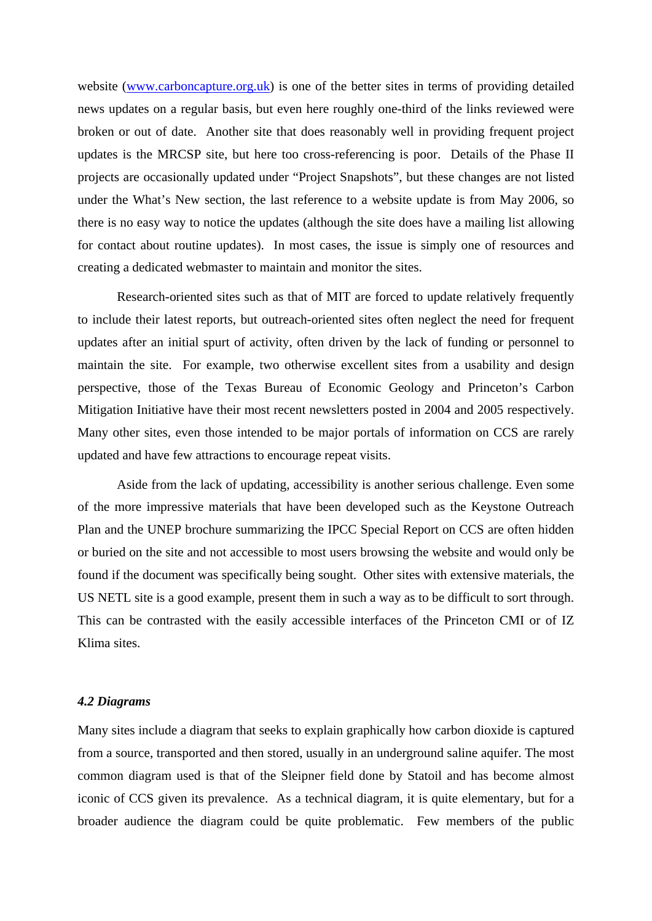website (www.carboncapture.org.uk) is one of the better sites in terms of providing detailed news updates on a regular basis, but even here roughly one-third of the links reviewed were broken or out of date. Another site that does reasonably well in providing frequent project updates is the MRCSP site, but here too cross-referencing is poor. Details of the Phase II projects are occasionally updated under "Project Snapshots", but these changes are not listed under the What's New section, the last reference to a website update is from May 2006, so there is no easy way to notice the updates (although the site does have a mailing list allowing for contact about routine updates). In most cases, the issue is simply one of resources and creating a dedicated webmaster to maintain and monitor the sites.

Research-oriented sites such as that of MIT are forced to update relatively frequently to include their latest reports, but outreach-oriented sites often neglect the need for frequent updates after an initial spurt of activity, often driven by the lack of funding or personnel to maintain the site. For example, two otherwise excellent sites from a usability and design perspective, those of the Texas Bureau of Economic Geology and Princeton's Carbon Mitigation Initiative have their most recent newsletters posted in 2004 and 2005 respectively. Many other sites, even those intended to be major portals of information on CCS are rarely updated and have few attractions to encourage repeat visits.

Aside from the lack of updating, accessibility is another serious challenge. Even some of the more impressive materials that have been developed such as the Keystone Outreach Plan and the UNEP brochure summarizing the IPCC Special Report on CCS are often hidden or buried on the site and not accessible to most users browsing the website and would only be found if the document was specifically being sought. Other sites with extensive materials, the US NETL site is a good example, present them in such a way as to be difficult to sort through. This can be contrasted with the easily accessible interfaces of the Princeton CMI or of IZ Klima sites.

### *4.2 Diagrams*

Many sites include a diagram that seeks to explain graphically how carbon dioxide is captured from a source, transported and then stored, usually in an underground saline aquifer. The most common diagram used is that of the Sleipner field done by Statoil and has become almost iconic of CCS given its prevalence. As a technical diagram, it is quite elementary, but for a broader audience the diagram could be quite problematic. Few members of the public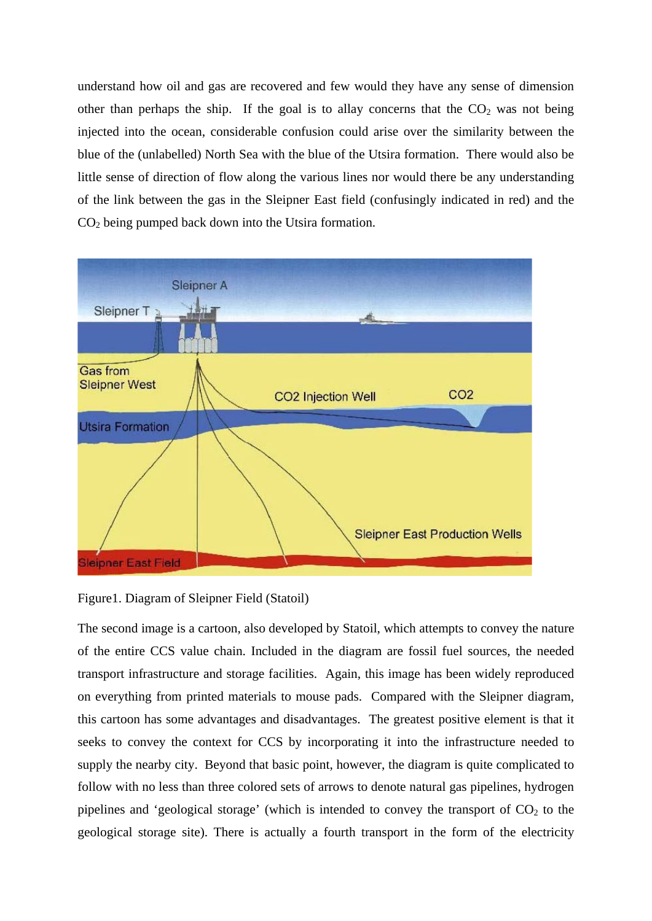understand how oil and gas are recovered and few would they have any sense of dimension other than perhaps the ship. If the goal is to allay concerns that the  $CO<sub>2</sub>$  was not being injected into the ocean, considerable confusion could arise over the similarity between the blue of the (unlabelled) North Sea with the blue of the Utsira formation. There would also be little sense of direction of flow along the various lines nor would there be any understanding of the link between the gas in the Sleipner East field (confusingly indicated in red) and the  $CO<sub>2</sub>$  being pumped back down into the Utsira formation.



Figure1. Diagram of Sleipner Field (Statoil)

The second image is a cartoon, also developed by Statoil, which attempts to convey the nature of the entire CCS value chain. Included in the diagram are fossil fuel sources, the needed transport infrastructure and storage facilities. Again, this image has been widely reproduced on everything from printed materials to mouse pads. Compared with the Sleipner diagram, this cartoon has some advantages and disadvantages. The greatest positive element is that it seeks to convey the context for CCS by incorporating it into the infrastructure needed to supply the nearby city. Beyond that basic point, however, the diagram is quite complicated to follow with no less than three colored sets of arrows to denote natural gas pipelines, hydrogen pipelines and 'geological storage' (which is intended to convey the transport of  $CO<sub>2</sub>$  to the geological storage site). There is actually a fourth transport in the form of the electricity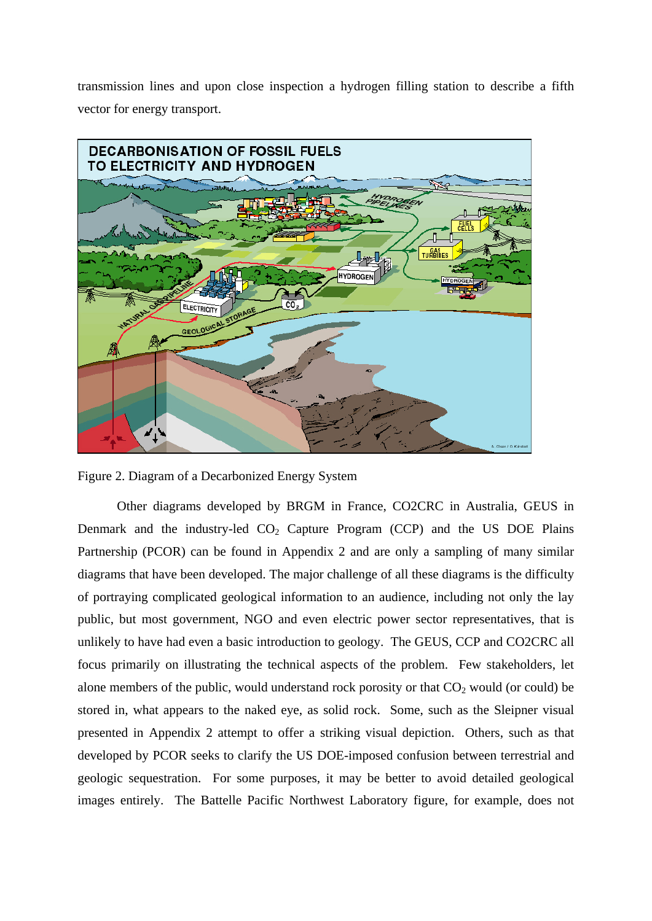transmission lines and upon close inspection a hydrogen filling station to describe a fifth vector for energy transport.



Figure 2. Diagram of a Decarbonized Energy System

Other diagrams developed by BRGM in France, CO2CRC in Australia, GEUS in Denmark and the industry-led  $CO<sub>2</sub>$  Capture Program (CCP) and the US DOE Plains Partnership (PCOR) can be found in Appendix 2 and are only a sampling of many similar diagrams that have been developed. The major challenge of all these diagrams is the difficulty of portraying complicated geological information to an audience, including not only the lay public, but most government, NGO and even electric power sector representatives, that is unlikely to have had even a basic introduction to geology. The GEUS, CCP and CO2CRC all focus primarily on illustrating the technical aspects of the problem. Few stakeholders, let alone members of the public, would understand rock porosity or that  $CO<sub>2</sub>$  would (or could) be stored in, what appears to the naked eye, as solid rock. Some, such as the Sleipner visual presented in Appendix 2 attempt to offer a striking visual depiction. Others, such as that developed by PCOR seeks to clarify the US DOE-imposed confusion between terrestrial and geologic sequestration. For some purposes, it may be better to avoid detailed geological images entirely. The Battelle Pacific Northwest Laboratory figure, for example, does not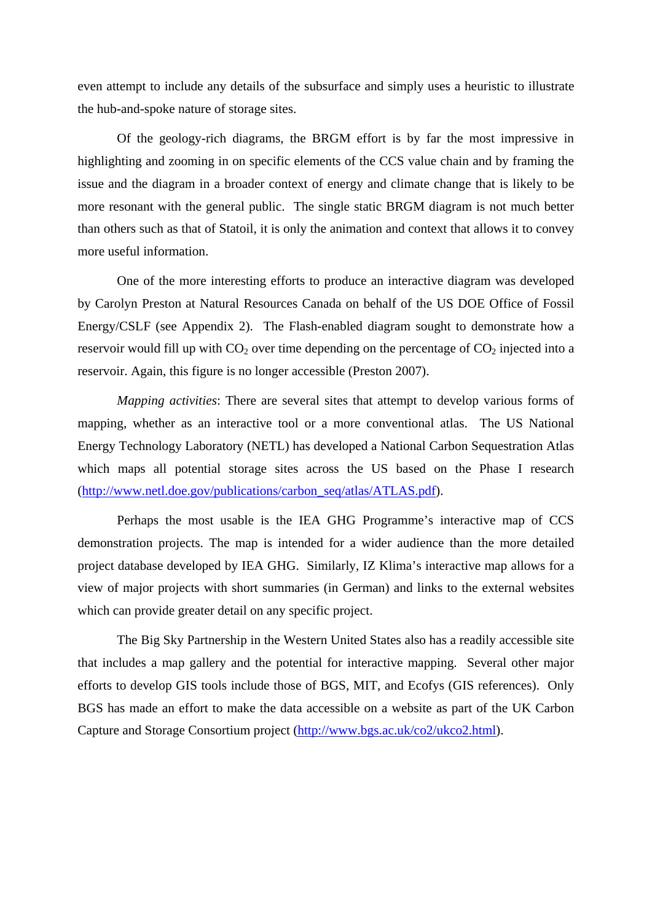even attempt to include any details of the subsurface and simply uses a heuristic to illustrate the hub-and-spoke nature of storage sites.

Of the geology-rich diagrams, the BRGM effort is by far the most impressive in highlighting and zooming in on specific elements of the CCS value chain and by framing the issue and the diagram in a broader context of energy and climate change that is likely to be more resonant with the general public. The single static BRGM diagram is not much better than others such as that of Statoil, it is only the animation and context that allows it to convey more useful information.

One of the more interesting efforts to produce an interactive diagram was developed by Carolyn Preston at Natural Resources Canada on behalf of the US DOE Office of Fossil Energy/CSLF (see Appendix 2). The Flash-enabled diagram sought to demonstrate how a reservoir would fill up with  $CO<sub>2</sub>$  over time depending on the percentage of  $CO<sub>2</sub>$  injected into a reservoir. Again, this figure is no longer accessible (Preston 2007).

*Mapping activities*: There are several sites that attempt to develop various forms of mapping, whether as an interactive tool or a more conventional atlas. The US National Energy Technology Laboratory (NETL) has developed a National Carbon Sequestration Atlas which maps all potential storage sites across the US based on the Phase I research (http://www.netl.doe.gov/publications/carbon\_seq/atlas/ATLAS.pdf).

Perhaps the most usable is the IEA GHG Programme's interactive map of CCS demonstration projects. The map is intended for a wider audience than the more detailed project database developed by IEA GHG. Similarly, IZ Klima's interactive map allows for a view of major projects with short summaries (in German) and links to the external websites which can provide greater detail on any specific project.

The Big Sky Partnership in the Western United States also has a readily accessible site that includes a map gallery and the potential for interactive mapping. Several other major efforts to develop GIS tools include those of BGS, MIT, and Ecofys (GIS references). Only BGS has made an effort to make the data accessible on a website as part of the UK Carbon Capture and Storage Consortium project (http://www.bgs.ac.uk/co2/ukco2.html).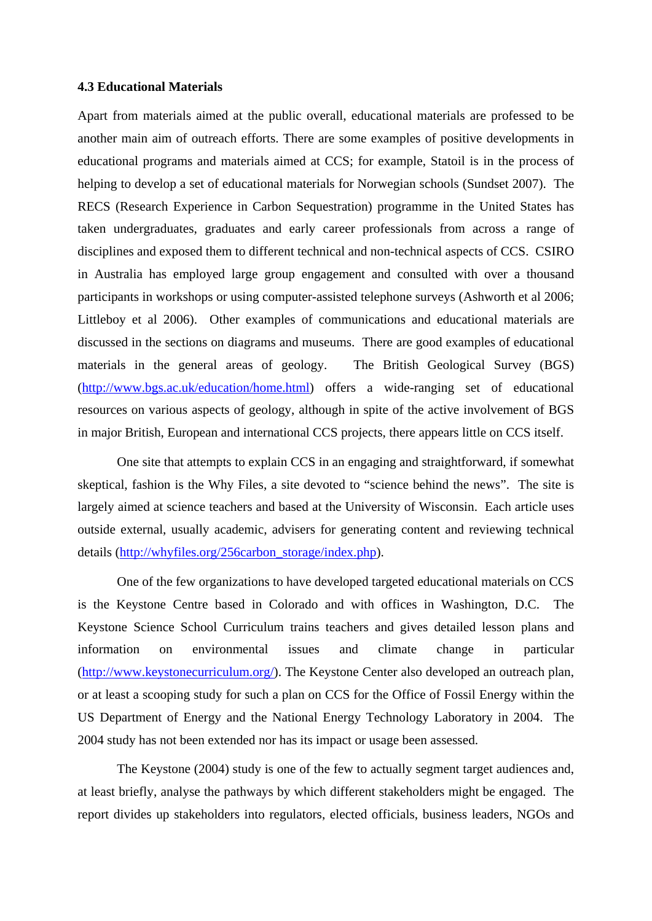#### **4.3 Educational Materials**

Apart from materials aimed at the public overall, educational materials are professed to be another main aim of outreach efforts. There are some examples of positive developments in educational programs and materials aimed at CCS; for example, Statoil is in the process of helping to develop a set of educational materials for Norwegian schools (Sundset 2007). The RECS (Research Experience in Carbon Sequestration) programme in the United States has taken undergraduates, graduates and early career professionals from across a range of disciplines and exposed them to different technical and non-technical aspects of CCS. CSIRO in Australia has employed large group engagement and consulted with over a thousand participants in workshops or using computer-assisted telephone surveys (Ashworth et al 2006; Littleboy et al 2006). Other examples of communications and educational materials are discussed in the sections on diagrams and museums. There are good examples of educational materials in the general areas of geology. The British Geological Survey (BGS) (http://www.bgs.ac.uk/education/home.html) offers a wide-ranging set of educational resources on various aspects of geology, although in spite of the active involvement of BGS in major British, European and international CCS projects, there appears little on CCS itself.

One site that attempts to explain CCS in an engaging and straightforward, if somewhat skeptical, fashion is the Why Files, a site devoted to "science behind the news". The site is largely aimed at science teachers and based at the University of Wisconsin. Each article uses outside external, usually academic, advisers for generating content and reviewing technical details (http://whyfiles.org/256carbon\_storage/index.php).

One of the few organizations to have developed targeted educational materials on CCS is the Keystone Centre based in Colorado and with offices in Washington, D.C. The Keystone Science School Curriculum trains teachers and gives detailed lesson plans and information on environmental issues and climate change in particular (http://www.keystonecurriculum.org/). The Keystone Center also developed an outreach plan, or at least a scooping study for such a plan on CCS for the Office of Fossil Energy within the US Department of Energy and the National Energy Technology Laboratory in 2004. The 2004 study has not been extended nor has its impact or usage been assessed.

The Keystone (2004) study is one of the few to actually segment target audiences and, at least briefly, analyse the pathways by which different stakeholders might be engaged. The report divides up stakeholders into regulators, elected officials, business leaders, NGOs and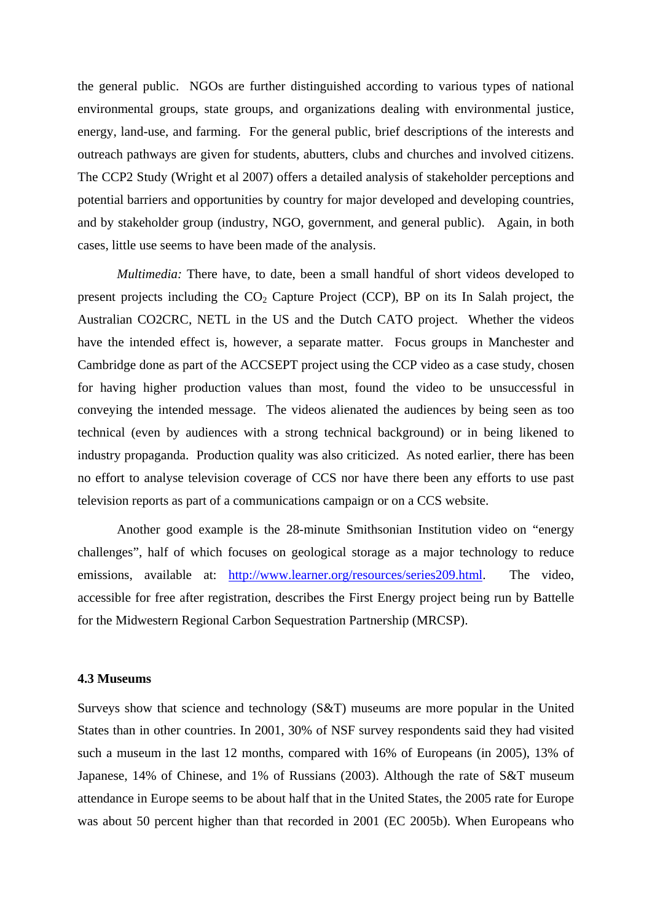the general public. NGOs are further distinguished according to various types of national environmental groups, state groups, and organizations dealing with environmental justice, energy, land-use, and farming. For the general public, brief descriptions of the interests and outreach pathways are given for students, abutters, clubs and churches and involved citizens. The CCP2 Study (Wright et al 2007) offers a detailed analysis of stakeholder perceptions and potential barriers and opportunities by country for major developed and developing countries, and by stakeholder group (industry, NGO, government, and general public). Again, in both cases, little use seems to have been made of the analysis.

*Multimedia:* There have, to date, been a small handful of short videos developed to present projects including the  $CO<sub>2</sub>$  Capture Project (CCP), BP on its In Salah project, the Australian CO2CRC, NETL in the US and the Dutch CATO project. Whether the videos have the intended effect is, however, a separate matter. Focus groups in Manchester and Cambridge done as part of the ACCSEPT project using the CCP video as a case study, chosen for having higher production values than most, found the video to be unsuccessful in conveying the intended message. The videos alienated the audiences by being seen as too technical (even by audiences with a strong technical background) or in being likened to industry propaganda. Production quality was also criticized. As noted earlier, there has been no effort to analyse television coverage of CCS nor have there been any efforts to use past television reports as part of a communications campaign or on a CCS website.

Another good example is the 28-minute Smithsonian Institution video on "energy challenges", half of which focuses on geological storage as a major technology to reduce emissions, available at: http://www.learner.org/resources/series209.html. The video, accessible for free after registration, describes the First Energy project being run by Battelle for the Midwestern Regional Carbon Sequestration Partnership (MRCSP).

### **4.3 Museums**

Surveys show that science and technology (S&T) museums are more popular in the United States than in other countries. In 2001, 30% of NSF survey respondents said they had visited such a museum in the last 12 months, compared with 16% of Europeans (in 2005), 13% of Japanese, 14% of Chinese, and 1% of Russians (2003). Although the rate of S&T museum attendance in Europe seems to be about half that in the United States, the 2005 rate for Europe was about 50 percent higher than that recorded in 2001 (EC 2005b). When Europeans who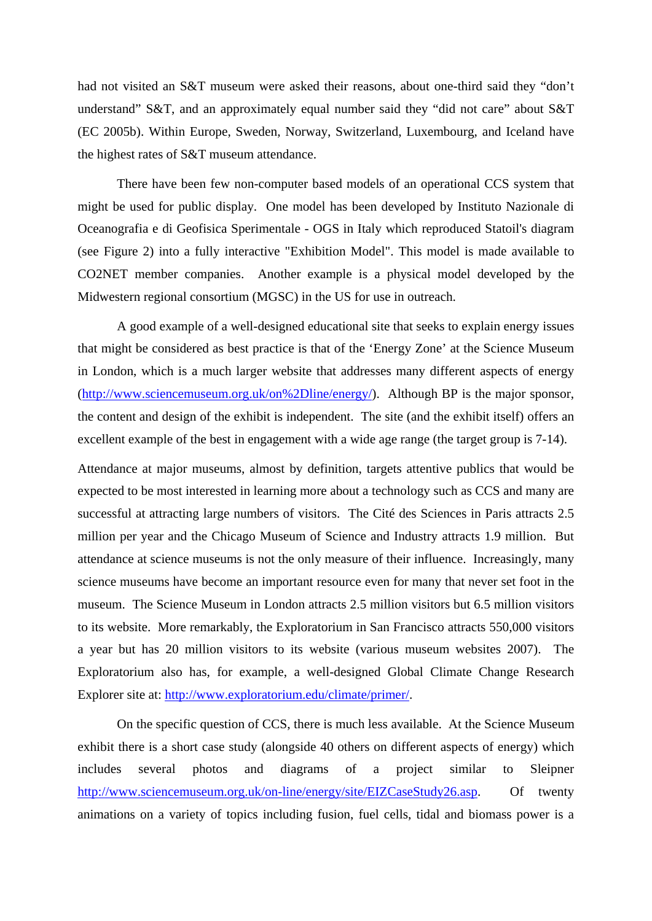had not visited an S&T museum were asked their reasons, about one-third said they "don't understand" S&T, and an approximately equal number said they "did not care" about S&T (EC 2005b). Within Europe, Sweden, Norway, Switzerland, Luxembourg, and Iceland have the highest rates of S&T museum attendance.

There have been few non-computer based models of an operational CCS system that might be used for public display. One model has been developed by Instituto Nazionale di Oceanografia e di Geofisica Sperimentale - OGS in Italy which reproduced Statoil's diagram (see Figure 2) into a fully interactive "Exhibition Model". This model is made available to CO2NET member companies. Another example is a physical model developed by the Midwestern regional consortium (MGSC) in the US for use in outreach.

A good example of a well-designed educational site that seeks to explain energy issues that might be considered as best practice is that of the 'Energy Zone' at the Science Museum in London, which is a much larger website that addresses many different aspects of energy (http://www.sciencemuseum.org.uk/on%2Dline/energy/). Although BP is the major sponsor, the content and design of the exhibit is independent. The site (and the exhibit itself) offers an excellent example of the best in engagement with a wide age range (the target group is 7-14).

Attendance at major museums, almost by definition, targets attentive publics that would be expected to be most interested in learning more about a technology such as CCS and many are successful at attracting large numbers of visitors. The Cité des Sciences in Paris attracts 2.5 million per year and the Chicago Museum of Science and Industry attracts 1.9 million. But attendance at science museums is not the only measure of their influence. Increasingly, many science museums have become an important resource even for many that never set foot in the museum. The Science Museum in London attracts 2.5 million visitors but 6.5 million visitors to its website. More remarkably, the Exploratorium in San Francisco attracts 550,000 visitors a year but has 20 million visitors to its website (various museum websites 2007). The Exploratorium also has, for example, a well-designed Global Climate Change Research Explorer site at: http://www.exploratorium.edu/climate/primer/.

On the specific question of CCS, there is much less available. At the Science Museum exhibit there is a short case study (alongside 40 others on different aspects of energy) which includes several photos and diagrams of a project similar to Sleipner http://www.sciencemuseum.org.uk/on-line/energy/site/EIZCaseStudy26.asp. Of twenty animations on a variety of topics including fusion, fuel cells, tidal and biomass power is a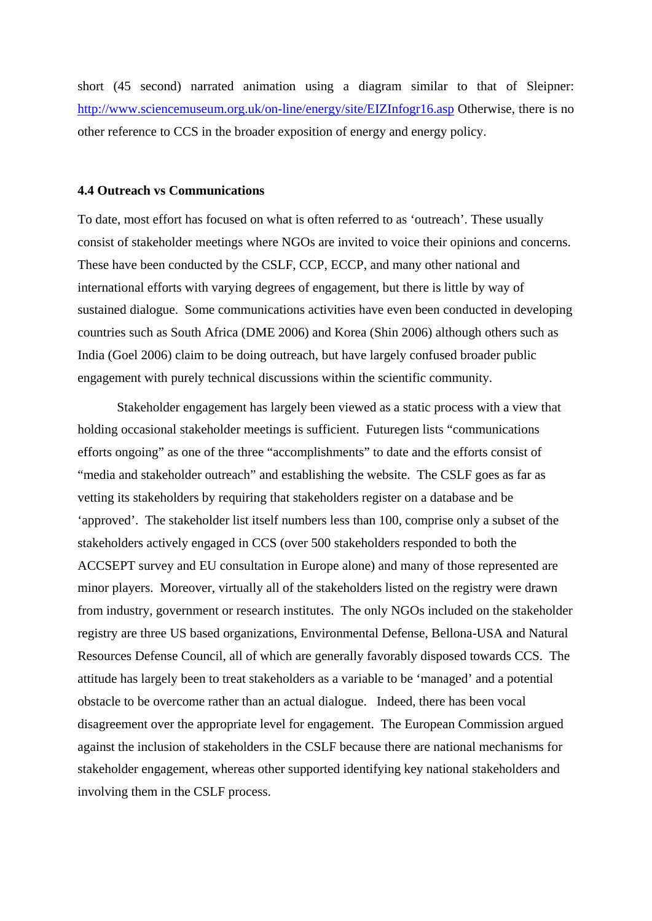short (45 second) narrated animation using a diagram similar to that of Sleipner: http://www.sciencemuseum.org.uk/on-line/energy/site/EIZInfogr16.asp Otherwise, there is no other reference to CCS in the broader exposition of energy and energy policy.

#### **4.4 Outreach vs Communications**

To date, most effort has focused on what is often referred to as 'outreach'. These usually consist of stakeholder meetings where NGOs are invited to voice their opinions and concerns. These have been conducted by the CSLF, CCP, ECCP, and many other national and international efforts with varying degrees of engagement, but there is little by way of sustained dialogue. Some communications activities have even been conducted in developing countries such as South Africa (DME 2006) and Korea (Shin 2006) although others such as India (Goel 2006) claim to be doing outreach, but have largely confused broader public engagement with purely technical discussions within the scientific community.

Stakeholder engagement has largely been viewed as a static process with a view that holding occasional stakeholder meetings is sufficient. Futuregen lists "communications efforts ongoing" as one of the three "accomplishments" to date and the efforts consist of "media and stakeholder outreach" and establishing the website. The CSLF goes as far as vetting its stakeholders by requiring that stakeholders register on a database and be 'approved'. The stakeholder list itself numbers less than 100, comprise only a subset of the stakeholders actively engaged in CCS (over 500 stakeholders responded to both the ACCSEPT survey and EU consultation in Europe alone) and many of those represented are minor players. Moreover, virtually all of the stakeholders listed on the registry were drawn from industry, government or research institutes. The only NGOs included on the stakeholder registry are three US based organizations, Environmental Defense, Bellona-USA and Natural Resources Defense Council, all of which are generally favorably disposed towards CCS. The attitude has largely been to treat stakeholders as a variable to be 'managed' and a potential obstacle to be overcome rather than an actual dialogue. Indeed, there has been vocal disagreement over the appropriate level for engagement. The European Commission argued against the inclusion of stakeholders in the CSLF because there are national mechanisms for stakeholder engagement, whereas other supported identifying key national stakeholders and involving them in the CSLF process.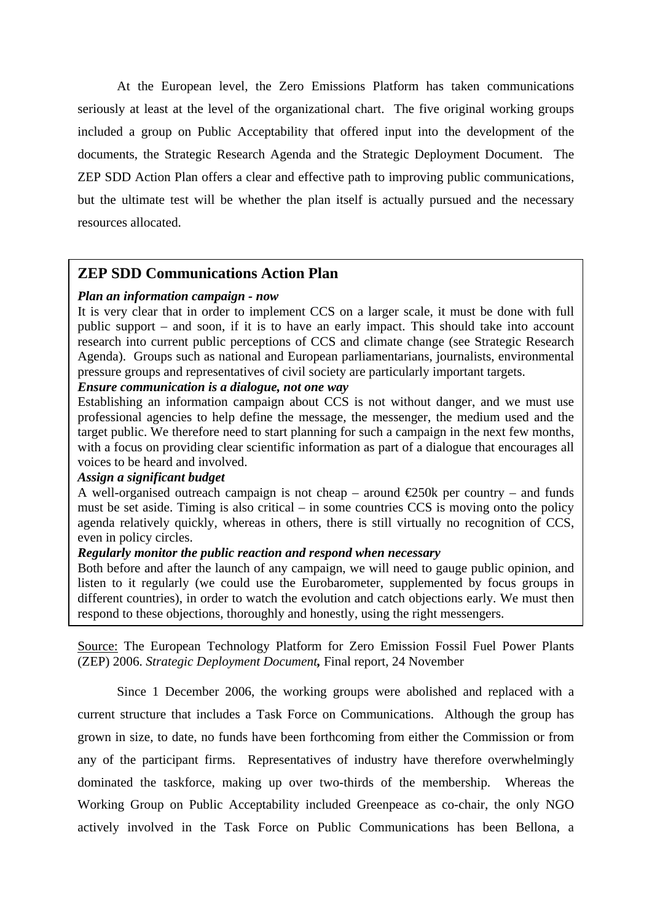At the European level, the Zero Emissions Platform has taken communications seriously at least at the level of the organizational chart. The five original working groups included a group on Public Acceptability that offered input into the development of the documents, the Strategic Research Agenda and the Strategic Deployment Document. The ZEP SDD Action Plan offers a clear and effective path to improving public communications, but the ultimate test will be whether the plan itself is actually pursued and the necessary resources allocated.

# **ZEP SDD Communications Action Plan**

# *Plan an information campaign - now*

It is very clear that in order to implement CCS on a larger scale, it must be done with full public support – and soon, if it is to have an early impact. This should take into account research into current public perceptions of CCS and climate change (see Strategic Research Agenda). Groups such as national and European parliamentarians, journalists, environmental pressure groups and representatives of civil society are particularly important targets.

# *Ensure communication is a dialogue, not one way*

Establishing an information campaign about CCS is not without danger, and we must use professional agencies to help define the message, the messenger, the medium used and the target public. We therefore need to start planning for such a campaign in the next few months, with a focus on providing clear scientific information as part of a dialogue that encourages all voices to be heard and involved.

# *Assign a significant budget*

A well-organised outreach campaign is not cheap – around  $\epsilon$ 250k per country – and funds must be set aside. Timing is also critical – in some countries CCS is moving onto the policy agenda relatively quickly, whereas in others, there is still virtually no recognition of CCS, even in policy circles.

# *Regularly monitor the public reaction and respond when necessary*

Both before and after the launch of any campaign, we will need to gauge public opinion, and listen to it regularly (we could use the Eurobarometer, supplemented by focus groups in different countries), in order to watch the evolution and catch objections early. We must then respond to these objections, thoroughly and honestly, using the right messengers.

Source: The European Technology Platform for Zero Emission Fossil Fuel Power Plants (ZEP) 2006. *Strategic Deployment Document,* Final report, 24 November

Since 1 December 2006, the working groups were abolished and replaced with a current structure that includes a Task Force on Communications. Although the group has grown in size, to date, no funds have been forthcoming from either the Commission or from any of the participant firms. Representatives of industry have therefore overwhelmingly dominated the taskforce, making up over two-thirds of the membership. Whereas the Working Group on Public Acceptability included Greenpeace as co-chair, the only NGO actively involved in the Task Force on Public Communications has been Bellona, a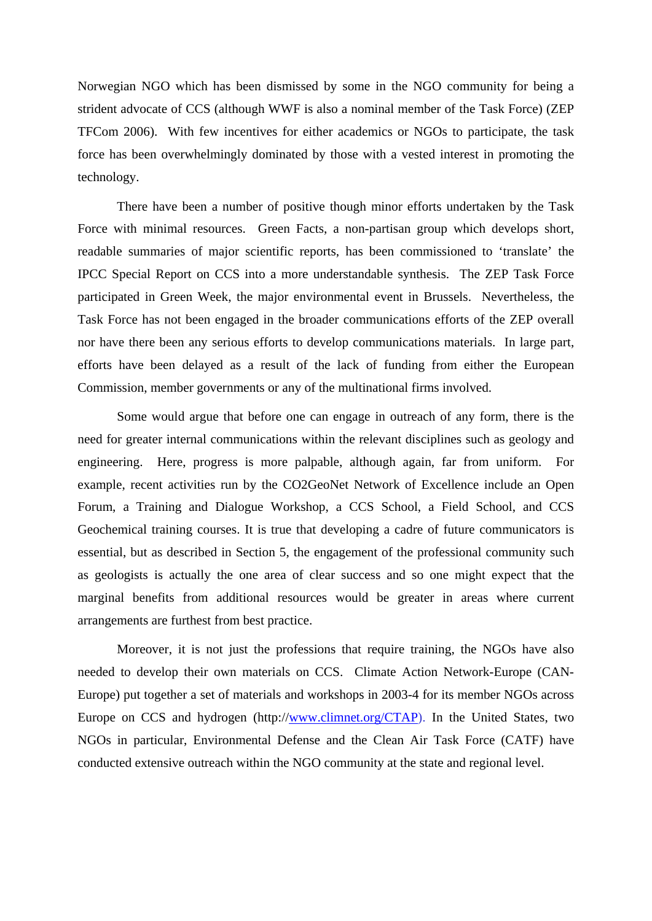Norwegian NGO which has been dismissed by some in the NGO community for being a strident advocate of CCS (although WWF is also a nominal member of the Task Force) (ZEP TFCom 2006). With few incentives for either academics or NGOs to participate, the task force has been overwhelmingly dominated by those with a vested interest in promoting the technology.

There have been a number of positive though minor efforts undertaken by the Task Force with minimal resources. Green Facts, a non-partisan group which develops short, readable summaries of major scientific reports, has been commissioned to 'translate' the IPCC Special Report on CCS into a more understandable synthesis. The ZEP Task Force participated in Green Week, the major environmental event in Brussels. Nevertheless, the Task Force has not been engaged in the broader communications efforts of the ZEP overall nor have there been any serious efforts to develop communications materials. In large part, efforts have been delayed as a result of the lack of funding from either the European Commission, member governments or any of the multinational firms involved.

Some would argue that before one can engage in outreach of any form, there is the need for greater internal communications within the relevant disciplines such as geology and engineering. Here, progress is more palpable, although again, far from uniform. For example, recent activities run by the CO2GeoNet Network of Excellence include an Open Forum, a Training and Dialogue Workshop, a CCS School, a Field School, and CCS Geochemical training courses. It is true that developing a cadre of future communicators is essential, but as described in Section 5, the engagement of the professional community such as geologists is actually the one area of clear success and so one might expect that the marginal benefits from additional resources would be greater in areas where current arrangements are furthest from best practice.

Moreover, it is not just the professions that require training, the NGOs have also needed to develop their own materials on CCS. Climate Action Network-Europe (CAN-Europe) put together a set of materials and workshops in 2003-4 for its member NGOs across Europe on CCS and hydrogen (http://www.climnet.org/CTAP). In the United States, two NGOs in particular, Environmental Defense and the Clean Air Task Force (CATF) have conducted extensive outreach within the NGO community at the state and regional level.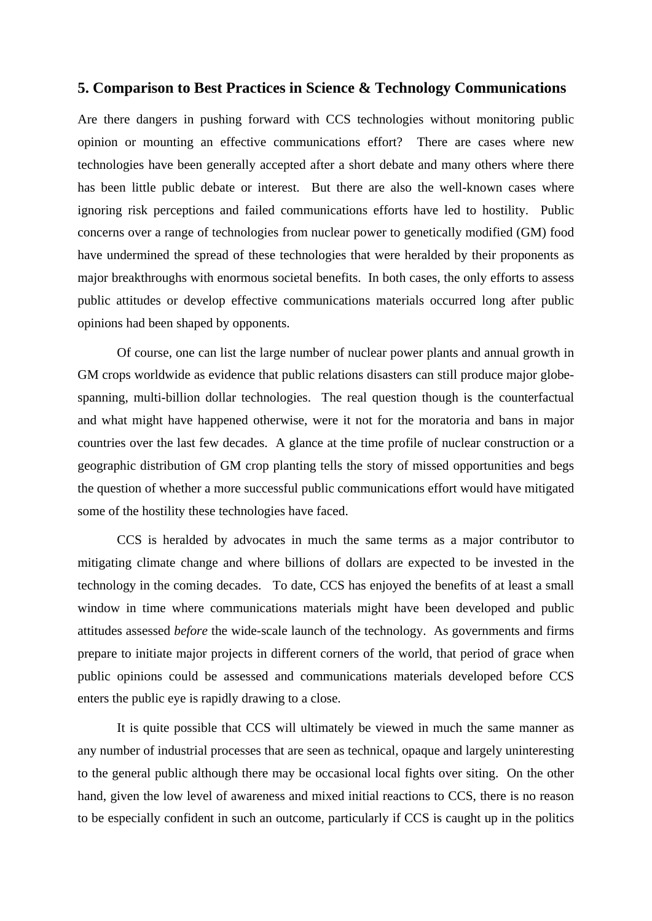# **5. Comparison to Best Practices in Science & Technology Communications**

Are there dangers in pushing forward with CCS technologies without monitoring public opinion or mounting an effective communications effort? There are cases where new technologies have been generally accepted after a short debate and many others where there has been little public debate or interest. But there are also the well-known cases where ignoring risk perceptions and failed communications efforts have led to hostility. Public concerns over a range of technologies from nuclear power to genetically modified (GM) food have undermined the spread of these technologies that were heralded by their proponents as major breakthroughs with enormous societal benefits. In both cases, the only efforts to assess public attitudes or develop effective communications materials occurred long after public opinions had been shaped by opponents.

Of course, one can list the large number of nuclear power plants and annual growth in GM crops worldwide as evidence that public relations disasters can still produce major globespanning, multi-billion dollar technologies. The real question though is the counterfactual and what might have happened otherwise, were it not for the moratoria and bans in major countries over the last few decades. A glance at the time profile of nuclear construction or a geographic distribution of GM crop planting tells the story of missed opportunities and begs the question of whether a more successful public communications effort would have mitigated some of the hostility these technologies have faced.

CCS is heralded by advocates in much the same terms as a major contributor to mitigating climate change and where billions of dollars are expected to be invested in the technology in the coming decades. To date, CCS has enjoyed the benefits of at least a small window in time where communications materials might have been developed and public attitudes assessed *before* the wide-scale launch of the technology. As governments and firms prepare to initiate major projects in different corners of the world, that period of grace when public opinions could be assessed and communications materials developed before CCS enters the public eye is rapidly drawing to a close.

It is quite possible that CCS will ultimately be viewed in much the same manner as any number of industrial processes that are seen as technical, opaque and largely uninteresting to the general public although there may be occasional local fights over siting. On the other hand, given the low level of awareness and mixed initial reactions to CCS, there is no reason to be especially confident in such an outcome, particularly if CCS is caught up in the politics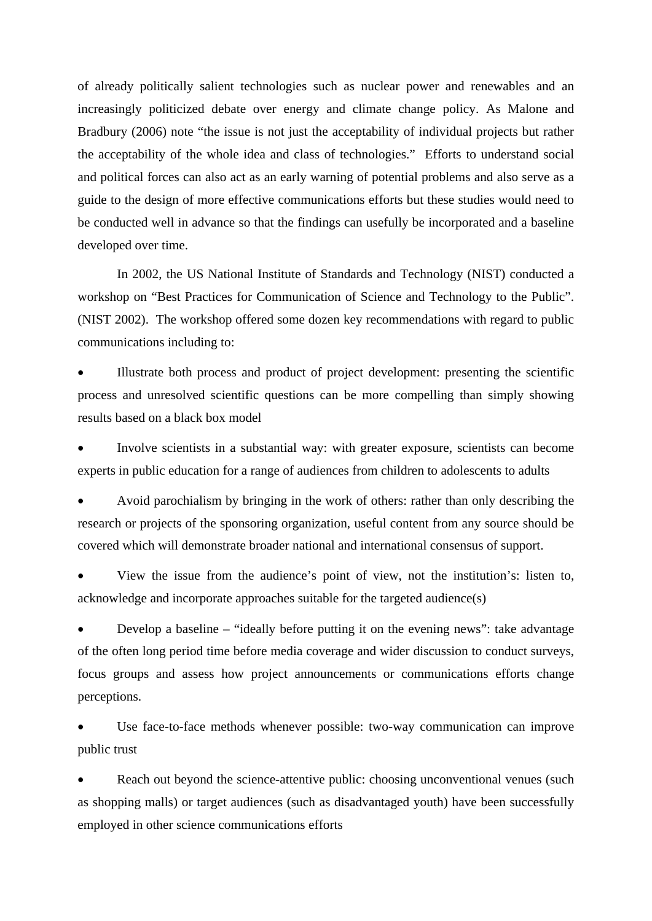of already politically salient technologies such as nuclear power and renewables and an increasingly politicized debate over energy and climate change policy. As Malone and Bradbury (2006) note "the issue is not just the acceptability of individual projects but rather the acceptability of the whole idea and class of technologies." Efforts to understand social and political forces can also act as an early warning of potential problems and also serve as a guide to the design of more effective communications efforts but these studies would need to be conducted well in advance so that the findings can usefully be incorporated and a baseline developed over time.

In 2002, the US National Institute of Standards and Technology (NIST) conducted a workshop on "Best Practices for Communication of Science and Technology to the Public". (NIST 2002). The workshop offered some dozen key recommendations with regard to public communications including to:

• Illustrate both process and product of project development: presenting the scientific process and unresolved scientific questions can be more compelling than simply showing results based on a black box model

• Involve scientists in a substantial way: with greater exposure, scientists can become experts in public education for a range of audiences from children to adolescents to adults

• Avoid parochialism by bringing in the work of others: rather than only describing the research or projects of the sponsoring organization, useful content from any source should be covered which will demonstrate broader national and international consensus of support.

• View the issue from the audience's point of view, not the institution's: listen to, acknowledge and incorporate approaches suitable for the targeted audience(s)

• Develop a baseline – "ideally before putting it on the evening news": take advantage of the often long period time before media coverage and wider discussion to conduct surveys, focus groups and assess how project announcements or communications efforts change perceptions.

Use face-to-face methods whenever possible: two-way communication can improve public trust

Reach out beyond the science-attentive public: choosing unconventional venues (such as shopping malls) or target audiences (such as disadvantaged youth) have been successfully employed in other science communications efforts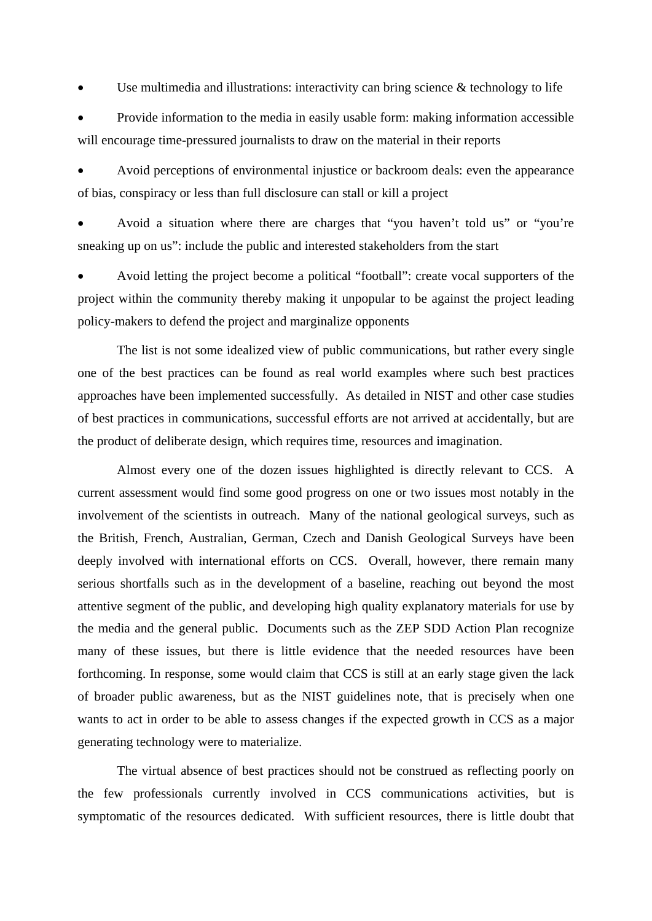Use multimedia and illustrations: interactivity can bring science  $\&$  technology to life

• Provide information to the media in easily usable form: making information accessible will encourage time-pressured journalists to draw on the material in their reports

• Avoid perceptions of environmental injustice or backroom deals: even the appearance of bias, conspiracy or less than full disclosure can stall or kill a project

• Avoid a situation where there are charges that "you haven't told us" or "you're sneaking up on us": include the public and interested stakeholders from the start

• Avoid letting the project become a political "football": create vocal supporters of the project within the community thereby making it unpopular to be against the project leading policy-makers to defend the project and marginalize opponents

The list is not some idealized view of public communications, but rather every single one of the best practices can be found as real world examples where such best practices approaches have been implemented successfully. As detailed in NIST and other case studies of best practices in communications, successful efforts are not arrived at accidentally, but are the product of deliberate design, which requires time, resources and imagination.

Almost every one of the dozen issues highlighted is directly relevant to CCS. A current assessment would find some good progress on one or two issues most notably in the involvement of the scientists in outreach. Many of the national geological surveys, such as the British, French, Australian, German, Czech and Danish Geological Surveys have been deeply involved with international efforts on CCS. Overall, however, there remain many serious shortfalls such as in the development of a baseline, reaching out beyond the most attentive segment of the public, and developing high quality explanatory materials for use by the media and the general public. Documents such as the ZEP SDD Action Plan recognize many of these issues, but there is little evidence that the needed resources have been forthcoming. In response, some would claim that CCS is still at an early stage given the lack of broader public awareness, but as the NIST guidelines note, that is precisely when one wants to act in order to be able to assess changes if the expected growth in CCS as a major generating technology were to materialize.

The virtual absence of best practices should not be construed as reflecting poorly on the few professionals currently involved in CCS communications activities, but is symptomatic of the resources dedicated. With sufficient resources, there is little doubt that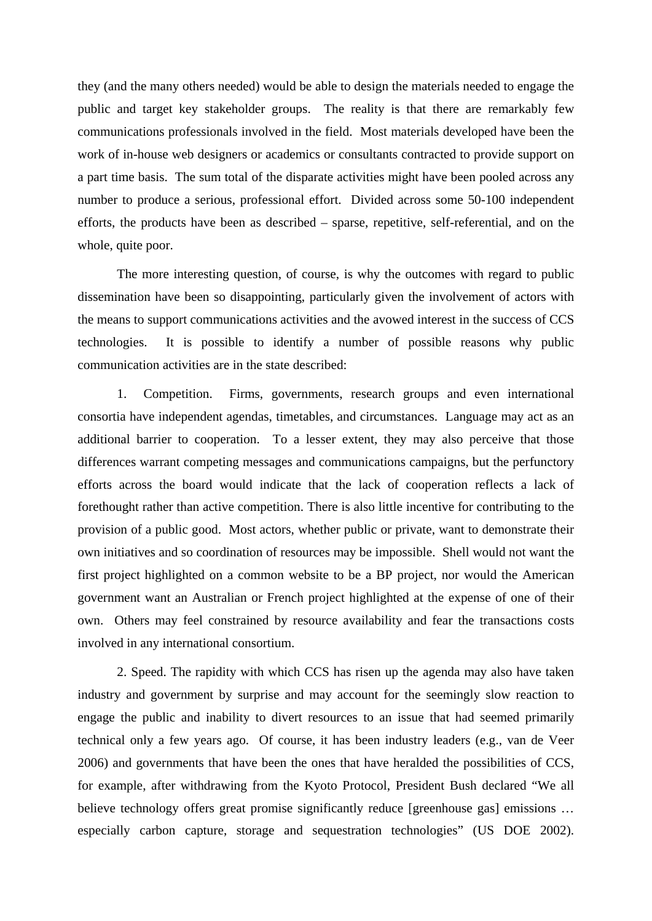they (and the many others needed) would be able to design the materials needed to engage the public and target key stakeholder groups. The reality is that there are remarkably few communications professionals involved in the field. Most materials developed have been the work of in-house web designers or academics or consultants contracted to provide support on a part time basis. The sum total of the disparate activities might have been pooled across any number to produce a serious, professional effort. Divided across some 50-100 independent efforts, the products have been as described – sparse, repetitive, self-referential, and on the whole, quite poor.

The more interesting question, of course, is why the outcomes with regard to public dissemination have been so disappointing, particularly given the involvement of actors with the means to support communications activities and the avowed interest in the success of CCS technologies. It is possible to identify a number of possible reasons why public communication activities are in the state described:

1. Competition. Firms, governments, research groups and even international consortia have independent agendas, timetables, and circumstances. Language may act as an additional barrier to cooperation. To a lesser extent, they may also perceive that those differences warrant competing messages and communications campaigns, but the perfunctory efforts across the board would indicate that the lack of cooperation reflects a lack of forethought rather than active competition. There is also little incentive for contributing to the provision of a public good. Most actors, whether public or private, want to demonstrate their own initiatives and so coordination of resources may be impossible. Shell would not want the first project highlighted on a common website to be a BP project, nor would the American government want an Australian or French project highlighted at the expense of one of their own. Others may feel constrained by resource availability and fear the transactions costs involved in any international consortium.

2. Speed. The rapidity with which CCS has risen up the agenda may also have taken industry and government by surprise and may account for the seemingly slow reaction to engage the public and inability to divert resources to an issue that had seemed primarily technical only a few years ago. Of course, it has been industry leaders (e.g., van de Veer 2006) and governments that have been the ones that have heralded the possibilities of CCS, for example, after withdrawing from the Kyoto Protocol, President Bush declared "We all believe technology offers great promise significantly reduce [greenhouse gas] emissions ... especially carbon capture, storage and sequestration technologies" (US DOE 2002).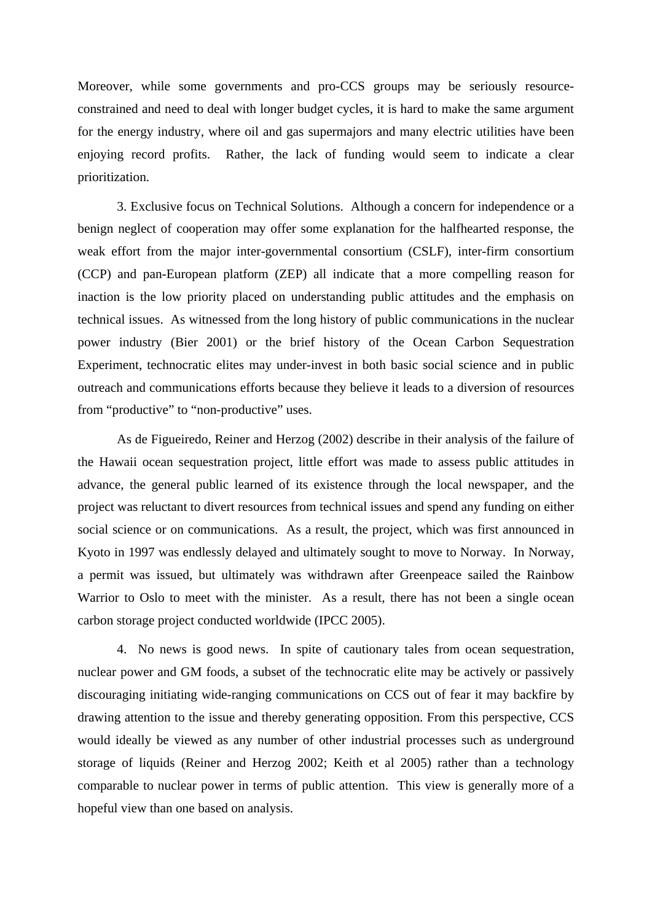Moreover, while some governments and pro-CCS groups may be seriously resourceconstrained and need to deal with longer budget cycles, it is hard to make the same argument for the energy industry, where oil and gas supermajors and many electric utilities have been enjoying record profits. Rather, the lack of funding would seem to indicate a clear prioritization.

3. Exclusive focus on Technical Solutions. Although a concern for independence or a benign neglect of cooperation may offer some explanation for the halfhearted response, the weak effort from the major inter-governmental consortium (CSLF), inter-firm consortium (CCP) and pan-European platform (ZEP) all indicate that a more compelling reason for inaction is the low priority placed on understanding public attitudes and the emphasis on technical issues. As witnessed from the long history of public communications in the nuclear power industry (Bier 2001) or the brief history of the Ocean Carbon Sequestration Experiment, technocratic elites may under-invest in both basic social science and in public outreach and communications efforts because they believe it leads to a diversion of resources from "productive" to "non-productive" uses.

As de Figueiredo, Reiner and Herzog (2002) describe in their analysis of the failure of the Hawaii ocean sequestration project, little effort was made to assess public attitudes in advance, the general public learned of its existence through the local newspaper, and the project was reluctant to divert resources from technical issues and spend any funding on either social science or on communications. As a result, the project, which was first announced in Kyoto in 1997 was endlessly delayed and ultimately sought to move to Norway. In Norway, a permit was issued, but ultimately was withdrawn after Greenpeace sailed the Rainbow Warrior to Oslo to meet with the minister. As a result, there has not been a single ocean carbon storage project conducted worldwide (IPCC 2005).

4. No news is good news. In spite of cautionary tales from ocean sequestration, nuclear power and GM foods, a subset of the technocratic elite may be actively or passively discouraging initiating wide-ranging communications on CCS out of fear it may backfire by drawing attention to the issue and thereby generating opposition. From this perspective, CCS would ideally be viewed as any number of other industrial processes such as underground storage of liquids (Reiner and Herzog 2002; Keith et al 2005) rather than a technology comparable to nuclear power in terms of public attention. This view is generally more of a hopeful view than one based on analysis.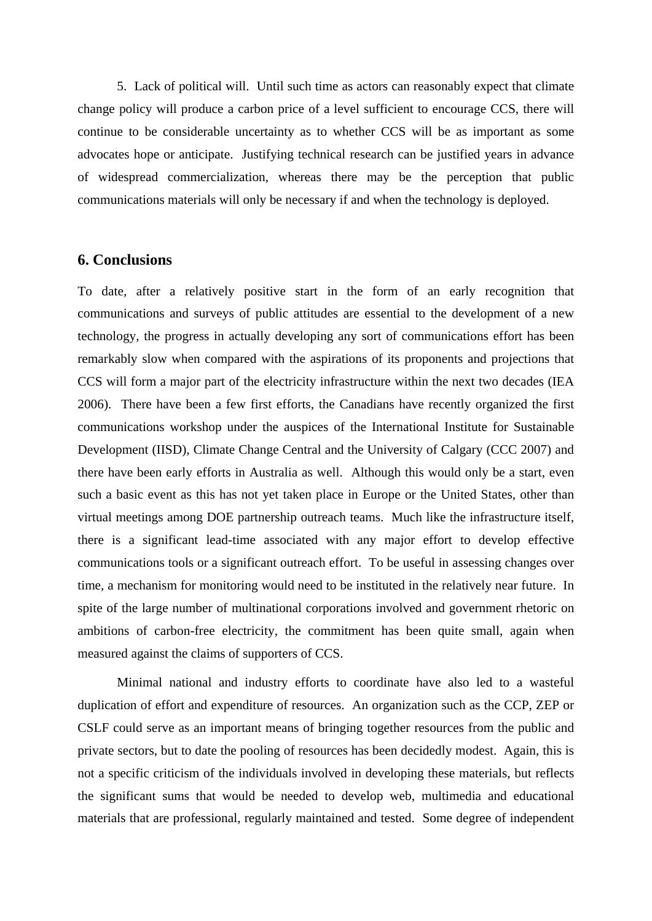5. Lack of political will. Until such time as actors can reasonably expect that climate change policy will produce a carbon price of a level sufficient to encourage CCS, there will continue to be considerable uncertainty as to whether CCS will be as important as some advocates hope or anticipate. Justifying technical research can be justified years in advance of widespread commercialization, whereas there may be the perception that public communications materials will only be necessary if and when the technology is deployed.

# **6. Conclusions**

To date, after a relatively positive start in the form of an early recognition that communications and surveys of public attitudes are essential to the development of a new technology, the progress in actually developing any sort of communications effort has been remarkably slow when compared with the aspirations of its proponents and projections that CCS will form a major part of the electricity infrastructure within the next two decades (IEA 2006). There have been a few first efforts, the Canadians have recently organized the first communications workshop under the auspices of the International Institute for Sustainable Development (IISD), Climate Change Central and the University of Calgary (CCC 2007) and there have been early efforts in Australia as well. Although this would only be a start, even such a basic event as this has not yet taken place in Europe or the United States, other than virtual meetings among DOE partnership outreach teams. Much like the infrastructure itself, there is a significant lead-time associated with any major effort to develop effective communications tools or a significant outreach effort. To be useful in assessing changes over time, a mechanism for monitoring would need to be instituted in the relatively near future. In spite of the large number of multinational corporations involved and government rhetoric on ambitions of carbon-free electricity, the commitment has been quite small, again when measured against the claims of supporters of CCS.

Minimal national and industry efforts to coordinate have also led to a wasteful duplication of effort and expenditure of resources. An organization such as the CCP, ZEP or CSLF could serve as an important means of bringing together resources from the public and private sectors, but to date the pooling of resources has been decidedly modest. Again, this is not a specific criticism of the individuals involved in developing these materials, but reflects the significant sums that would be needed to develop web, multimedia and educational materials that are professional, regularly maintained and tested. Some degree of independent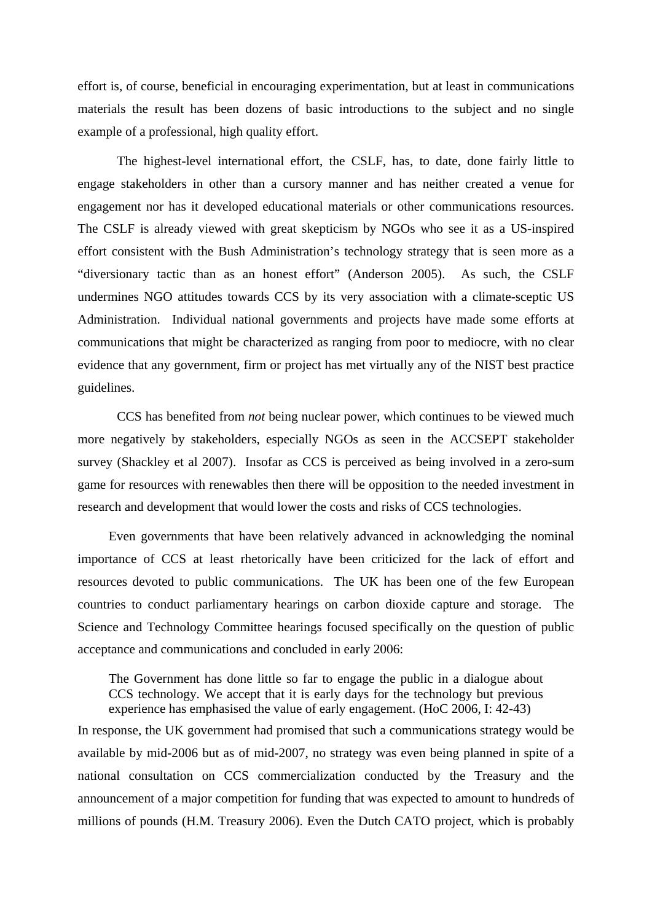effort is, of course, beneficial in encouraging experimentation, but at least in communications materials the result has been dozens of basic introductions to the subject and no single example of a professional, high quality effort.

The highest-level international effort, the CSLF, has, to date, done fairly little to engage stakeholders in other than a cursory manner and has neither created a venue for engagement nor has it developed educational materials or other communications resources. The CSLF is already viewed with great skepticism by NGOs who see it as a US-inspired effort consistent with the Bush Administration's technology strategy that is seen more as a "diversionary tactic than as an honest effort" (Anderson 2005). As such, the CSLF undermines NGO attitudes towards CCS by its very association with a climate-sceptic US Administration. Individual national governments and projects have made some efforts at communications that might be characterized as ranging from poor to mediocre, with no clear evidence that any government, firm or project has met virtually any of the NIST best practice guidelines.

CCS has benefited from *not* being nuclear power, which continues to be viewed much more negatively by stakeholders, especially NGOs as seen in the ACCSEPT stakeholder survey (Shackley et al 2007). Insofar as CCS is perceived as being involved in a zero-sum game for resources with renewables then there will be opposition to the needed investment in research and development that would lower the costs and risks of CCS technologies.

Even governments that have been relatively advanced in acknowledging the nominal importance of CCS at least rhetorically have been criticized for the lack of effort and resources devoted to public communications. The UK has been one of the few European countries to conduct parliamentary hearings on carbon dioxide capture and storage. The Science and Technology Committee hearings focused specifically on the question of public acceptance and communications and concluded in early 2006:

The Government has done little so far to engage the public in a dialogue about CCS technology. We accept that it is early days for the technology but previous experience has emphasised the value of early engagement. (HoC 2006, I: 42-43)

In response, the UK government had promised that such a communications strategy would be available by mid-2006 but as of mid-2007, no strategy was even being planned in spite of a national consultation on CCS commercialization conducted by the Treasury and the announcement of a major competition for funding that was expected to amount to hundreds of millions of pounds (H.M. Treasury 2006). Even the Dutch CATO project, which is probably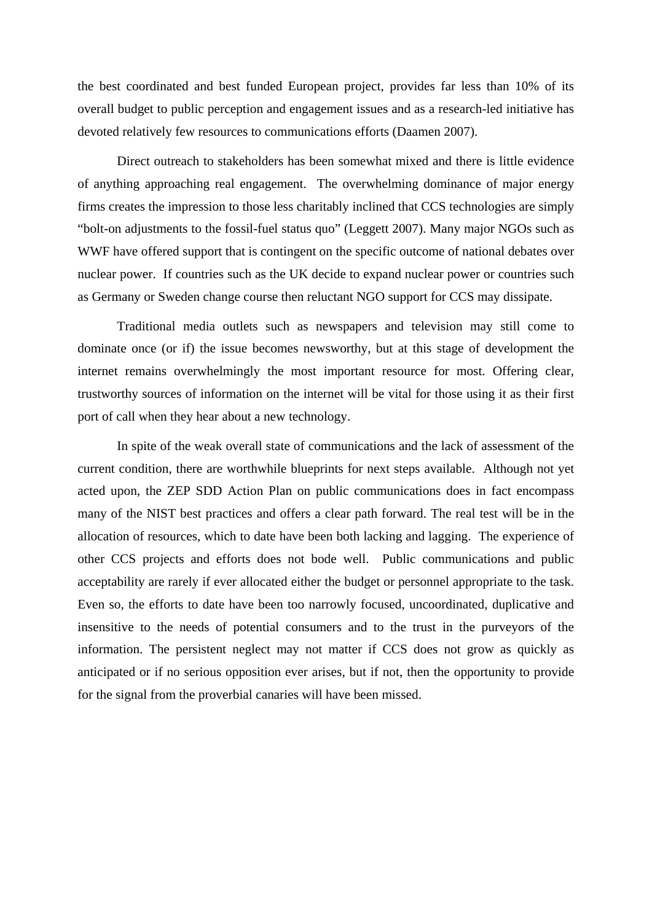the best coordinated and best funded European project, provides far less than 10% of its overall budget to public perception and engagement issues and as a research-led initiative has devoted relatively few resources to communications efforts (Daamen 2007).

Direct outreach to stakeholders has been somewhat mixed and there is little evidence of anything approaching real engagement. The overwhelming dominance of major energy firms creates the impression to those less charitably inclined that CCS technologies are simply "bolt-on adjustments to the fossil-fuel status quo" (Leggett 2007). Many major NGOs such as WWF have offered support that is contingent on the specific outcome of national debates over nuclear power. If countries such as the UK decide to expand nuclear power or countries such as Germany or Sweden change course then reluctant NGO support for CCS may dissipate.

Traditional media outlets such as newspapers and television may still come to dominate once (or if) the issue becomes newsworthy, but at this stage of development the internet remains overwhelmingly the most important resource for most. Offering clear, trustworthy sources of information on the internet will be vital for those using it as their first port of call when they hear about a new technology.

In spite of the weak overall state of communications and the lack of assessment of the current condition, there are worthwhile blueprints for next steps available. Although not yet acted upon, the ZEP SDD Action Plan on public communications does in fact encompass many of the NIST best practices and offers a clear path forward. The real test will be in the allocation of resources, which to date have been both lacking and lagging. The experience of other CCS projects and efforts does not bode well. Public communications and public acceptability are rarely if ever allocated either the budget or personnel appropriate to the task. Even so, the efforts to date have been too narrowly focused, uncoordinated, duplicative and insensitive to the needs of potential consumers and to the trust in the purveyors of the information. The persistent neglect may not matter if CCS does not grow as quickly as anticipated or if no serious opposition ever arises, but if not, then the opportunity to provide for the signal from the proverbial canaries will have been missed.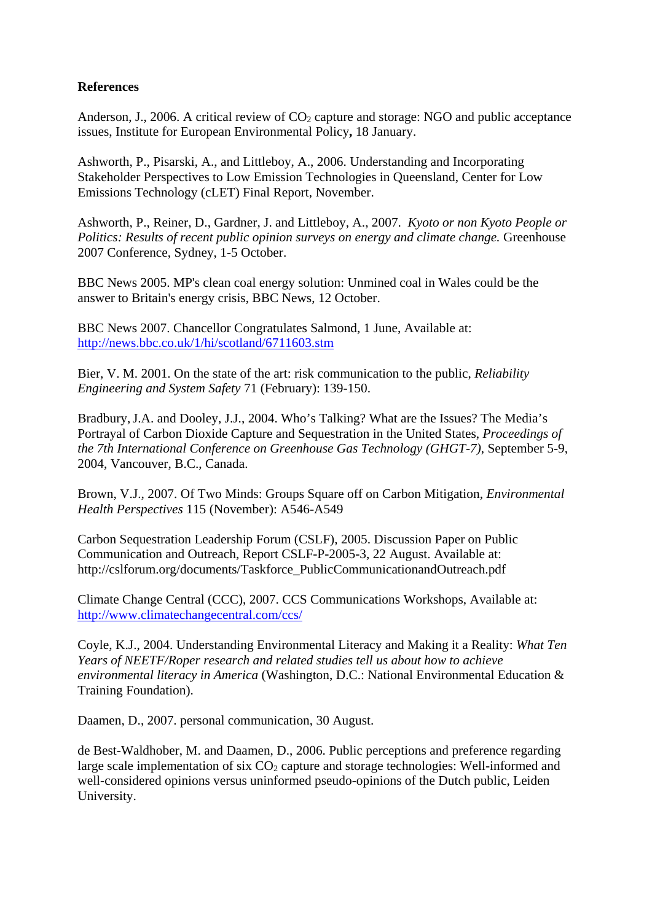# **References**

Anderson, J., 2006. A critical review of  $CO<sub>2</sub>$  capture and storage: NGO and public acceptance issues, Institute for European Environmental Policy**,** 18 January.

Ashworth, P., Pisarski, A., and Littleboy, A., 2006. Understanding and Incorporating Stakeholder Perspectives to Low Emission Technologies in Queensland, Center for Low Emissions Technology (cLET) Final Report, November.

Ashworth, P., Reiner, D., Gardner, J. and Littleboy, A., 2007. *Kyoto or non Kyoto People or Politics: Results of recent public opinion surveys on energy and climate change. Greenhouse* 2007 Conference, Sydney, 1-5 October.

BBC News 2005. MP's clean coal energy solution: Unmined coal in Wales could be the answer to Britain's energy crisis, BBC News, 12 October.

BBC News 2007. Chancellor Congratulates Salmond, 1 June, Available at: http://news.bbc.co.uk/1/hi/scotland/6711603.stm

Bier, V. M. 2001. On the state of the art: risk communication to the public, *Reliability Engineering and System Safety* 71 (February): 139-150.

Bradbury,J.A. and Dooley, J.J., 2004. Who's Talking? What are the Issues? The Media's Portrayal of Carbon Dioxide Capture and Sequestration in the United States, *Proceedings of the 7th International Conference on Greenhouse Gas Technology (GHGT-7)*, September 5-9, 2004, Vancouver, B.C., Canada.

Brown, V.J., 2007. Of Two Minds: Groups Square off on Carbon Mitigation, *Environmental Health Perspectives* 115 (November): A546-A549

Carbon Sequestration Leadership Forum (CSLF), 2005. Discussion Paper on Public Communication and Outreach, Report CSLF-P-2005-3, 22 August. Available at: http://cslforum.org/documents/Taskforce\_PublicCommunicationandOutreach.pdf

Climate Change Central (CCC), 2007. CCS Communications Workshops, Available at: http://www.climatechangecentral.com/ccs/

Coyle, K.J., 2004. Understanding Environmental Literacy and Making it a Reality: *What Ten Years of NEETF/Roper research and related studies tell us about how to achieve environmental literacy in America* (Washington, D.C.: National Environmental Education & Training Foundation).

Daamen, D., 2007. personal communication, 30 August.

de Best-Waldhober, M. and Daamen, D., 2006. Public perceptions and preference regarding large scale implementation of six  $CO<sub>2</sub>$  capture and storage technologies: Well-informed and well-considered opinions versus uninformed pseudo-opinions of the Dutch public, Leiden University.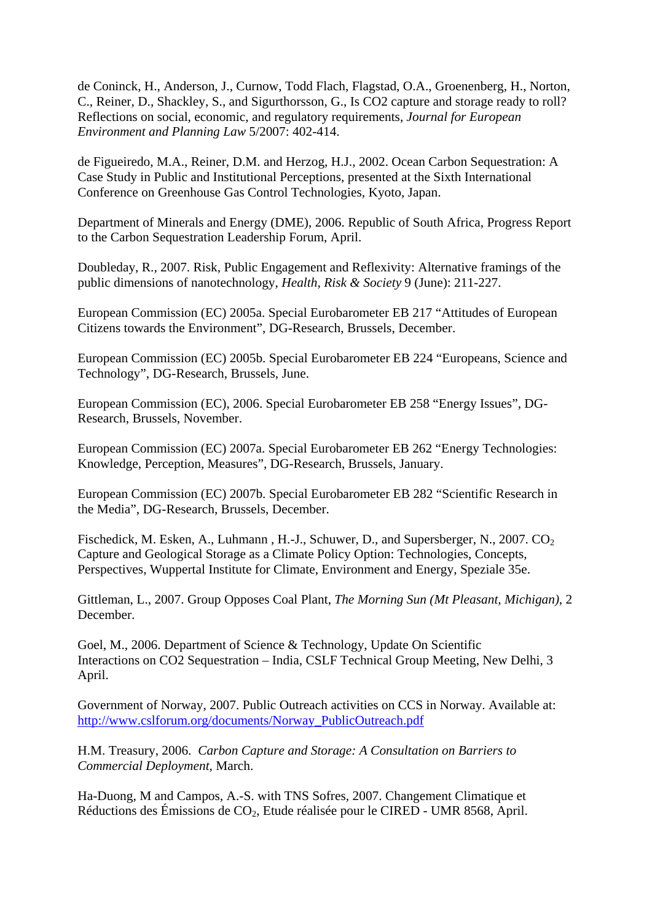de Coninck, H., Anderson, J., Curnow, Todd Flach, Flagstad, O.A., Groenenberg, H., Norton, C., Reiner, D., Shackley, S., and Sigurthorsson, G., Is CO2 capture and storage ready to roll? Reflections on social, economic, and regulatory requirements, *Journal for European Environment and Planning Law* 5/2007: 402-414.

de Figueiredo, M.A., Reiner, D.M. and Herzog, H.J., 2002. Ocean Carbon Sequestration: A Case Study in Public and Institutional Perceptions, presented at the Sixth International Conference on Greenhouse Gas Control Technologies, Kyoto, Japan.

Department of Minerals and Energy (DME), 2006. Republic of South Africa, Progress Report to the Carbon Sequestration Leadership Forum, April.

Doubleday, R., 2007. Risk, Public Engagement and Reflexivity: Alternative framings of the public dimensions of nanotechnology, *Health, Risk & Society* 9 (June): 211-227.

European Commission (EC) 2005a. Special Eurobarometer EB 217 "Attitudes of European Citizens towards the Environment", DG-Research, Brussels, December.

European Commission (EC) 2005b. Special Eurobarometer EB 224 "Europeans, Science and Technology", DG-Research, Brussels, June.

European Commission (EC), 2006. Special Eurobarometer EB 258 "Energy Issues", DG-Research, Brussels, November.

European Commission (EC) 2007a. Special Eurobarometer EB 262 "Energy Technologies: Knowledge, Perception, Measures", DG-Research, Brussels, January.

European Commission (EC) 2007b. Special Eurobarometer EB 282 "Scientific Research in the Media", DG-Research, Brussels, December.

Fischedick, M. Esken, A., Luhmann, H.-J., Schuwer, D., and Supersberger, N., 2007. CO<sub>2</sub> Capture and Geological Storage as a Climate Policy Option: Technologies, Concepts, Perspectives, Wuppertal Institute for Climate, Environment and Energy, Speziale 35e.

Gittleman, L., 2007. Group Opposes Coal Plant, *The Morning Sun (Mt Pleasant, Michigan)*, 2 December.

Goel, M., 2006. Department of Science & Technology, Update On Scientific Interactions on CO2 Sequestration – India, CSLF Technical Group Meeting, New Delhi, 3 April.

Government of Norway, 2007. Public Outreach activities on CCS in Norway. Available at: http://www.cslforum.org/documents/Norway\_PublicOutreach.pdf

H.M. Treasury, 2006. *Carbon Capture and Storage: A Consultation on Barriers to Commercial Deployment*, March.

Ha-Duong, M and Campos, A.-S. with TNS Sofres, 2007. Changement Climatique et Réductions des Émissions de CO2, Etude réalisée pour le CIRED - UMR 8568, April.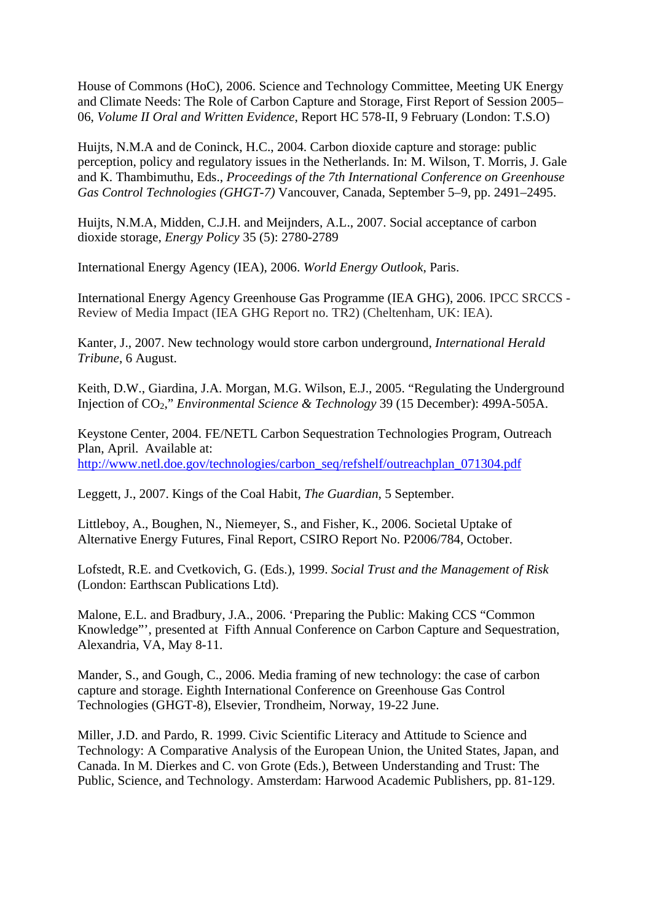House of Commons (HoC), 2006. Science and Technology Committee, Meeting UK Energy and Climate Needs: The Role of Carbon Capture and Storage, First Report of Session 2005– 06, *Volume II Oral and Written Evidence*, Report HC 578-II, 9 February (London: T.S.O)

Huijts, N.M.A and de Coninck, H.C., 2004. Carbon dioxide capture and storage: public perception, policy and regulatory issues in the Netherlands. In: M. Wilson, T. Morris, J. Gale and K. Thambimuthu, Eds., *Proceedings of the 7th International Conference on Greenhouse Gas Control Technologies (GHGT-7)* Vancouver, Canada, September 5–9, pp. 2491–2495.

Huijts, N.M.A, Midden, C.J.H. and Meijnders, A.L., 2007. Social acceptance of carbon dioxide storage, *Energy Policy* 35 (5): 2780-2789

International Energy Agency (IEA), 2006. *World Energy Outlook*, Paris.

International Energy Agency Greenhouse Gas Programme (IEA GHG), 2006. IPCC SRCCS - Review of Media Impact (IEA GHG Report no. TR2) (Cheltenham, UK: IEA).

Kanter, J., 2007. New technology would store carbon underground, *International Herald Tribune*, 6 August.

Keith, D.W., Giardina, J.A. Morgan, M.G. Wilson, E.J., 2005. "Regulating the Underground Injection of CO2," *Environmental Science & Technology* 39 (15 December): 499A-505A.

Keystone Center, 2004. FE/NETL Carbon Sequestration Technologies Program, Outreach Plan, April. Available at: http://www.netl.doe.gov/technologies/carbon\_seq/refshelf/outreachplan\_071304.pdf

Leggett, J., 2007. Kings of the Coal Habit, *The Guardian*, 5 September.

Littleboy, A., Boughen, N., Niemeyer, S., and Fisher, K., 2006. Societal Uptake of Alternative Energy Futures, Final Report, CSIRO Report No. P2006/784, October.

Lofstedt, R.E. and Cvetkovich, G. (Eds.), 1999. *Social Trust and the Management of Risk* (London: Earthscan Publications Ltd).

Malone, E.L. and Bradbury, J.A., 2006. 'Preparing the Public: Making CCS "Common Knowledge"', presented at Fifth Annual Conference on Carbon Capture and Sequestration, Alexandria, VA, May 8-11.

Mander, S., and Gough, C., 2006. Media framing of new technology: the case of carbon capture and storage. Eighth International Conference on Greenhouse Gas Control Technologies (GHGT-8), Elsevier, Trondheim, Norway, 19-22 June.

Miller, J.D. and Pardo, R. 1999. Civic Scientific Literacy and Attitude to Science and Technology: A Comparative Analysis of the European Union, the United States, Japan, and Canada. In M. Dierkes and C. von Grote (Eds.), Between Understanding and Trust: The Public, Science, and Technology. Amsterdam: Harwood Academic Publishers, pp. 81-129.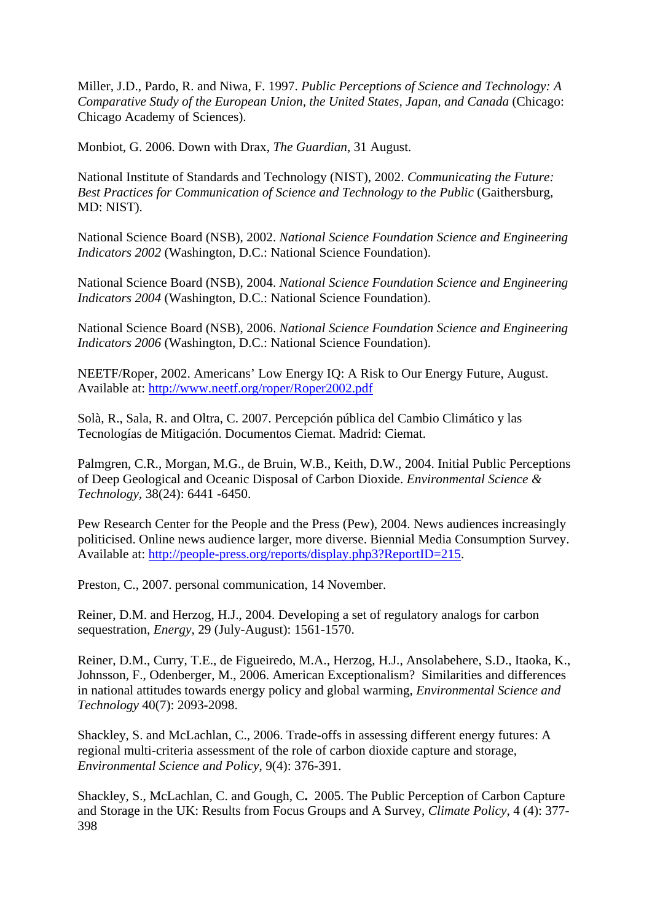Miller, J.D., Pardo, R. and Niwa, F. 1997. *Public Perceptions of Science and Technology: A Comparative Study of the European Union, the United States, Japan, and Canada* (Chicago: Chicago Academy of Sciences).

Monbiot, G. 2006. Down with Drax, *The Guardian*, 31 August.

National Institute of Standards and Technology (NIST), 2002. *Communicating the Future: Best Practices for Communication of Science and Technology to the Public* (Gaithersburg, MD: NIST).

National Science Board (NSB), 2002. *National Science Foundation Science and Engineering Indicators 2002* (Washington, D.C.: National Science Foundation).

National Science Board (NSB), 2004. *National Science Foundation Science and Engineering Indicators 2004* (Washington, D.C.: National Science Foundation).

National Science Board (NSB), 2006. *National Science Foundation Science and Engineering Indicators 2006* (Washington, D.C.: National Science Foundation).

NEETF/Roper, 2002. Americans' Low Energy IQ: A Risk to Our Energy Future, August. Available at: http://www.neetf.org/roper/Roper2002.pdf

Solà, R., Sala, R. and Oltra, C. 2007. Percepción pública del Cambio Climático y las Tecnologías de Mitigación. Documentos Ciemat. Madrid: Ciemat.

Palmgren, C.R., Morgan, M.G., de Bruin, W.B., Keith, D.W., 2004. Initial Public Perceptions of Deep Geological and Oceanic Disposal of Carbon Dioxide. *Environmental Science & Technology,* 38(24): 6441 -6450.

Pew Research Center for the People and the Press (Pew), 2004. News audiences increasingly politicised. Online news audience larger, more diverse. Biennial Media Consumption Survey. Available at: http://people-press.org/reports/display.php3?ReportID=215.

Preston, C., 2007. personal communication, 14 November.

Reiner, D.M. and Herzog, H.J., 2004. Developing a set of regulatory analogs for carbon sequestration, *Energy*, 29 (July-August): 1561-1570.

Reiner, D.M., Curry, T.E., de Figueiredo, M.A., Herzog, H.J., Ansolabehere, S.D., Itaoka, K., Johnsson, F., Odenberger, M., 2006. American Exceptionalism? Similarities and differences in national attitudes towards energy policy and global warming, *Environmental Science and Technology* 40(7): 2093-2098.

Shackley, S. and McLachlan, C., 2006. Trade-offs in assessing different energy futures: A regional multi-criteria assessment of the role of carbon dioxide capture and storage, *Environmental Science and Policy*, 9(4): 376-391.

Shackley, S., McLachlan, C. and Gough, C**.** 2005. The Public Perception of Carbon Capture and Storage in the UK: Results from Focus Groups and A Survey, *Climate Policy*, 4 (4): 377- 398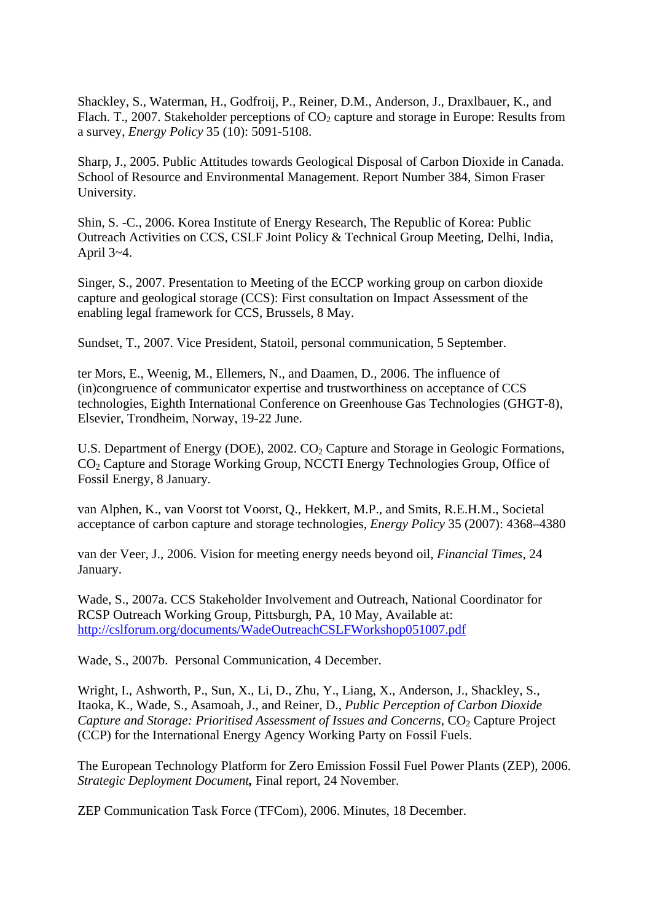Shackley, S., Waterman, H., Godfroij, P., Reiner, D.M., Anderson, J., Draxlbauer, K., and Flach. T., 2007. Stakeholder perceptions of  $CO<sub>2</sub>$  capture and storage in Europe: Results from a survey, *Energy Policy* 35 (10): 5091-5108.

Sharp, J., 2005. Public Attitudes towards Geological Disposal of Carbon Dioxide in Canada. School of Resource and Environmental Management. Report Number 384, Simon Fraser University.

Shin, S. -C., 2006. Korea Institute of Energy Research, The Republic of Korea: Public Outreach Activities on CCS, CSLF Joint Policy & Technical Group Meeting, Delhi, India, April 3~4.

Singer, S., 2007. Presentation to Meeting of the ECCP working group on carbon dioxide capture and geological storage (CCS): First consultation on Impact Assessment of the enabling legal framework for CCS, Brussels, 8 May.

Sundset, T., 2007. Vice President, Statoil, personal communication, 5 September.

ter Mors, E., Weenig, M., Ellemers, N., and Daamen, D., 2006. The influence of (in)congruence of communicator expertise and trustworthiness on acceptance of CCS technologies, Eighth International Conference on Greenhouse Gas Technologies (GHGT-8), Elsevier, Trondheim, Norway, 19-22 June.

U.S. Department of Energy (DOE),  $2002$ .  $CO<sub>2</sub>$  Capture and Storage in Geologic Formations, CO2 Capture and Storage Working Group, NCCTI Energy Technologies Group, Office of Fossil Energy, 8 January.

van Alphen, K., van Voorst tot Voorst, Q., Hekkert, M.P., and Smits, R.E.H.M., Societal acceptance of carbon capture and storage technologies, *Energy Policy* 35 (2007): 4368–4380

van der Veer, J., 2006. Vision for meeting energy needs beyond oil, *Financial Times*, 24 January.

Wade, S., 2007a. CCS Stakeholder Involvement and Outreach, National Coordinator for RCSP Outreach Working Group, Pittsburgh, PA, 10 May, Available at: http://cslforum.org/documents/WadeOutreachCSLFWorkshop051007.pdf

Wade, S., 2007b. Personal Communication, 4 December.

Wright, I., Ashworth, P., Sun, X., Li, D., Zhu, Y., Liang, X., Anderson, J., Shackley, S., Itaoka, K., Wade, S., Asamoah, J., and Reiner, D., *Public Perception of Carbon Dioxide Capture and Storage: Prioritised Assessment of Issues and Concerns*, CO<sub>2</sub> Capture Project (CCP) for the International Energy Agency Working Party on Fossil Fuels.

The European Technology Platform for Zero Emission Fossil Fuel Power Plants (ZEP), 2006. *Strategic Deployment Document,* Final report, 24 November.

ZEP Communication Task Force (TFCom), 2006. Minutes, 18 December.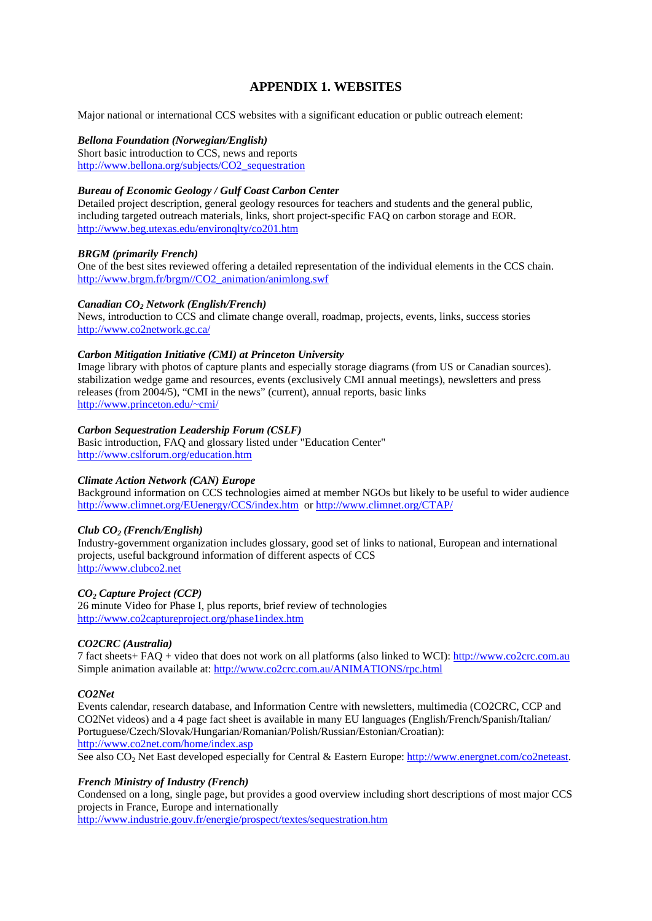# **APPENDIX 1. WEBSITES**

Major national or international CCS websites with a significant education or public outreach element:

#### *Bellona Foundation (Norwegian/English)*

Short basic introduction to CCS, news and reports http://www.bellona.org/subjects/CO2\_sequestration

#### *Bureau of Economic Geology / Gulf Coast Carbon Center*

Detailed project description, general geology resources for teachers and students and the general public, including targeted outreach materials, links, short project-specific FAQ on carbon storage and EOR. http://www.beg.utexas.edu/environqlty/co201.htm

#### *BRGM (primarily French)*

One of the best sites reviewed offering a detailed representation of the individual elements in the CCS chain. http://www.brgm.fr/brgm//CO2\_animation/animlong.swf

#### *Canadian CO2 Network (English/French)*

News, introduction to CCS and climate change overall, roadmap, projects, events, links, success stories http://www.co2network.gc.ca/

#### *Carbon Mitigation Initiative (CMI) at Princeton University*

Image library with photos of capture plants and especially storage diagrams (from US or Canadian sources). stabilization wedge game and resources, events (exclusively CMI annual meetings), newsletters and press releases (from 2004/5), "CMI in the news" (current), annual reports, basic links http://www.princeton.edu/~cmi/

#### *Carbon Sequestration Leadership Forum (CSLF)*

Basic introduction, FAQ and glossary listed under "Education Center" http://www.cslforum.org/education.htm

#### *Climate Action Network (CAN) Europe*

Background information on CCS technologies aimed at member NGOs but likely to be useful to wider audience http://www.climnet.org/EUenergy/CCS/index.htm or http://www.climnet.org/CTAP/

#### *Club CO2 (French/English)*

Industry-government organization includes glossary, good set of links to national, European and international projects, useful background information of different aspects of CCS http://www.clubco2.net

#### *CO2 Capture Project (CCP)*

26 minute Video for Phase I, plus reports, brief review of technologies http://www.co2captureproject.org/phase1index.htm

#### *CO2CRC (Australia)*

7 fact sheets+ FAQ + video that does not work on all platforms (also linked to WCI): http://www.co2crc.com.au Simple animation available at: http://www.co2crc.com.au/ANIMATIONS/rpc.html

#### *CO2Net*

Events calendar, research database, and Information Centre with newsletters, multimedia (CO2CRC, CCP and CO2Net videos) and a 4 page fact sheet is available in many EU languages (English/French/Spanish/Italian/ Portuguese/Czech/Slovak/Hungarian/Romanian/Polish/Russian/Estonian/Croatian): http://www.co2net.com/home/index.asp

See also CO2 Net East developed especially for Central & Eastern Europe: http://www.energnet.com/co2neteast.

#### *French Ministry of Industry (French)*

Condensed on a long, single page, but provides a good overview including short descriptions of most major CCS projects in France, Europe and internationally

http://www.industrie.gouv.fr/energie/prospect/textes/sequestration.htm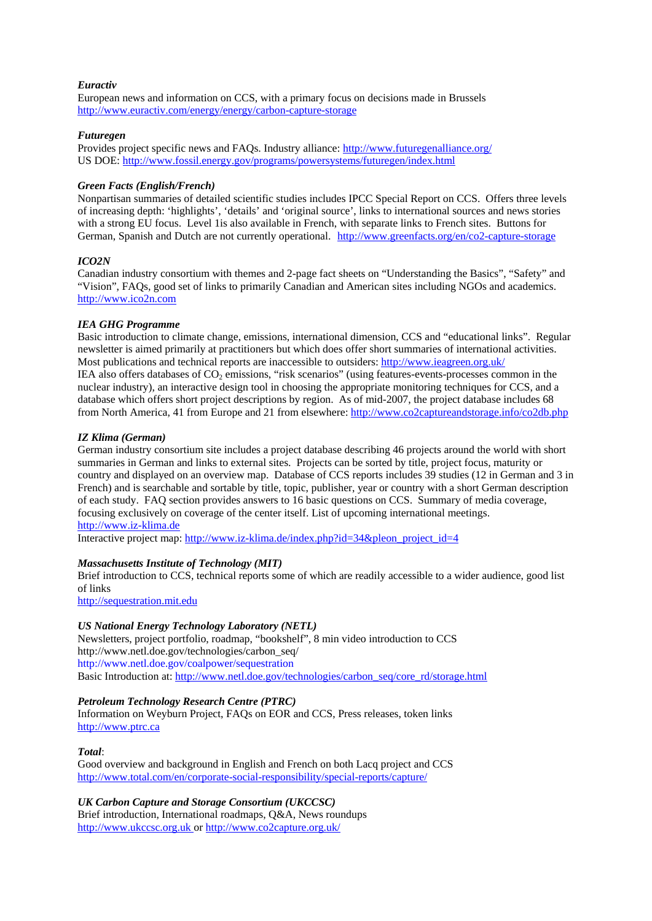#### *Euractiv*

European news and information on CCS, with a primary focus on decisions made in Brussels http://www.euractiv.com/energy/energy/carbon-capture-storage

#### *Futuregen*

Provides project specific news and FAQs. Industry alliance: http://www.futuregenalliance.org/ US DOE: http://www.fossil.energy.gov/programs/powersystems/futuregen/index.html

#### *Green Facts (English/French)*

Nonpartisan summaries of detailed scientific studies includes IPCC Special Report on CCS. Offers three levels of increasing depth: 'highlights', 'details' and 'original source', links to international sources and news stories with a strong EU focus. Level 1is also available in French, with separate links to French sites. Buttons for German, Spanish and Dutch are not currently operational. http://www.greenfacts.org/en/co2-capture-storage

#### *ICO2N*

Canadian industry consortium with themes and 2-page fact sheets on "Understanding the Basics", "Safety" and "Vision", FAQs, good set of links to primarily Canadian and American sites including NGOs and academics. http://www.ico2n.com

#### *IEA GHG Programme*

Basic introduction to climate change, emissions, international dimension, CCS and "educational links". Regular newsletter is aimed primarily at practitioners but which does offer short summaries of international activities. Most publications and technical reports are inaccessible to outsiders: http://www.ieagreen.org.uk/ IEA also offers databases of  $CO_2$  emissions, "risk scenarios" (using features-events-processes common in the nuclear industry), an interactive design tool in choosing the appropriate monitoring techniques for CCS, and a database which offers short project descriptions by region. As of mid-2007, the project database includes 68 from North America, 41 from Europe and 21 from elsewhere: http://www.co2captureandstorage.info/co2db.php

#### *IZ Klima (German)*

German industry consortium site includes a project database describing 46 projects around the world with short summaries in German and links to external sites. Projects can be sorted by title, project focus, maturity or country and displayed on an overview map. Database of CCS reports includes 39 studies (12 in German and 3 in French) and is searchable and sortable by title, topic, publisher, year or country with a short German description of each study. FAQ section provides answers to 16 basic questions on CCS. Summary of media coverage, focusing exclusively on coverage of the center itself. List of upcoming international meetings. http://www.iz-klima.de

Interactive project map: http://www.iz-klima.de/index.php?id=34&pleon\_project\_id=4

#### *Massachusetts Institute of Technology (MIT)*

Brief introduction to CCS, technical reports some of which are readily accessible to a wider audience, good list of links

http://sequestration.mit.edu

#### *US National Energy Technology Laboratory (NETL)*

Newsletters, project portfolio, roadmap, "bookshelf", 8 min video introduction to CCS http://www.netl.doe.gov/technologies/carbon\_seq/ http://www.netl.doe.gov/coalpower/sequestration Basic Introduction at: http://www.netl.doe.gov/technologies/carbon\_seq/core\_rd/storage.html

#### *Petroleum Technology Research Centre (PTRC)*

Information on Weyburn Project, FAQs on EOR and CCS, Press releases, token links http://www.ptrc.ca

#### *Total*:

Good overview and background in English and French on both Lacq project and CCS http://www.total.com/en/corporate-social-responsibility/special-reports/capture/

#### *UK Carbon Capture and Storage Consortium (UKCCSC)*

Brief introduction, International roadmaps, Q&A, News roundups http://www.ukccsc.org.uk or http://www.co2capture.org.uk/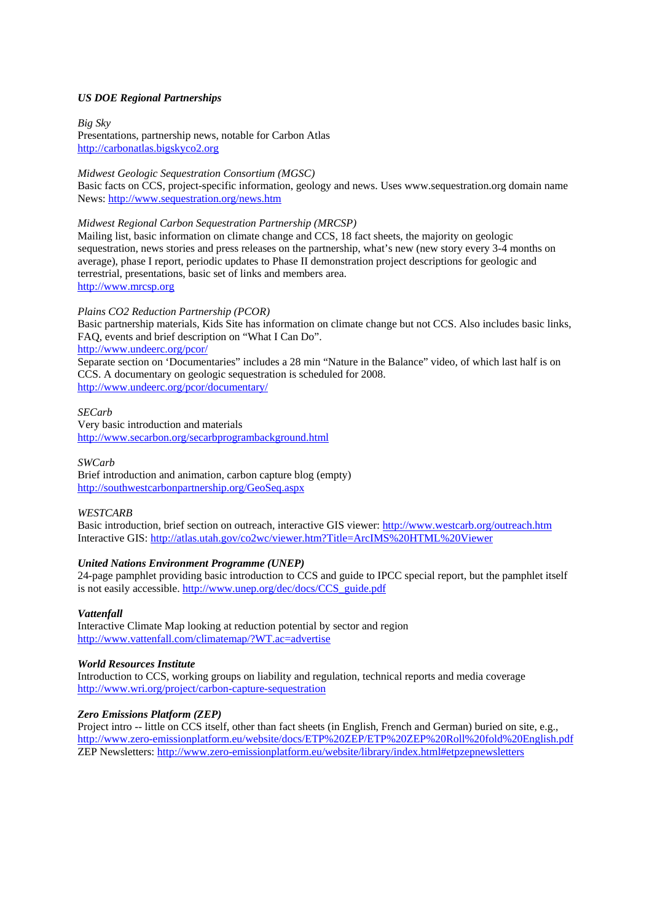#### *US DOE Regional Partnerships*

*Big Sky*  Presentations, partnership news, notable for Carbon Atlas http://carbonatlas.bigskyco2.org

#### *Midwest Geologic Sequestration Consortium (MGSC)*

Basic facts on CCS, project-specific information, geology and news. Uses www.sequestration.org domain name News: http://www.sequestration.org/news.htm

#### *Midwest Regional Carbon Sequestration Partnership (MRCSP)*

Mailing list, basic information on climate change and CCS, 18 fact sheets, the majority on geologic sequestration, news stories and press releases on the partnership, what's new (new story every 3-4 months on average), phase I report, periodic updates to Phase II demonstration project descriptions for geologic and terrestrial, presentations, basic set of links and members area. http://www.mrcsp.org

#### *Plains CO2 Reduction Partnership (PCOR)*

Basic partnership materials, Kids Site has information on climate change but not CCS. Also includes basic links, FAQ, events and brief description on "What I Can Do".

http://www.undeerc.org/pcor/

Separate section on 'Documentaries" includes a 28 min "Nature in the Balance" video, of which last half is on CCS. A documentary on geologic sequestration is scheduled for 2008. http://www.undeerc.org/pcor/documentary/

#### *SECarb*

Very basic introduction and materials http://www.secarbon.org/secarbprogrambackground.html

#### *SWCarb*

Brief introduction and animation, carbon capture blog (empty) http://southwestcarbonpartnership.org/GeoSeq.aspx

#### *WESTCARB*

Basic introduction, brief section on outreach, interactive GIS viewer: http://www.westcarb.org/outreach.htm Interactive GIS: http://atlas.utah.gov/co2wc/viewer.htm?Title=ArcIMS%20HTML%20Viewer

#### *United Nations Environment Programme (UNEP)*

24-page pamphlet providing basic introduction to CCS and guide to IPCC special report, but the pamphlet itself is not easily accessible. http://www.unep.org/dec/docs/CCS\_guide.pdf

#### *Vattenfall*

Interactive Climate Map looking at reduction potential by sector and region http://www.vattenfall.com/climatemap/?WT.ac=advertise

#### *World Resources Institute*

Introduction to CCS, working groups on liability and regulation, technical reports and media coverage http://www.wri.org/project/carbon-capture-sequestration

#### *Zero Emissions Platform (ZEP)*

Project intro -- little on CCS itself, other than fact sheets (in English, French and German) buried on site, e.g., http://www.zero-emissionplatform.eu/website/docs/ETP%20ZEP/ETP%20ZEP%20Roll%20fold%20English.pdf ZEP Newsletters: http://www.zero-emissionplatform.eu/website/library/index.html#etpzepnewsletters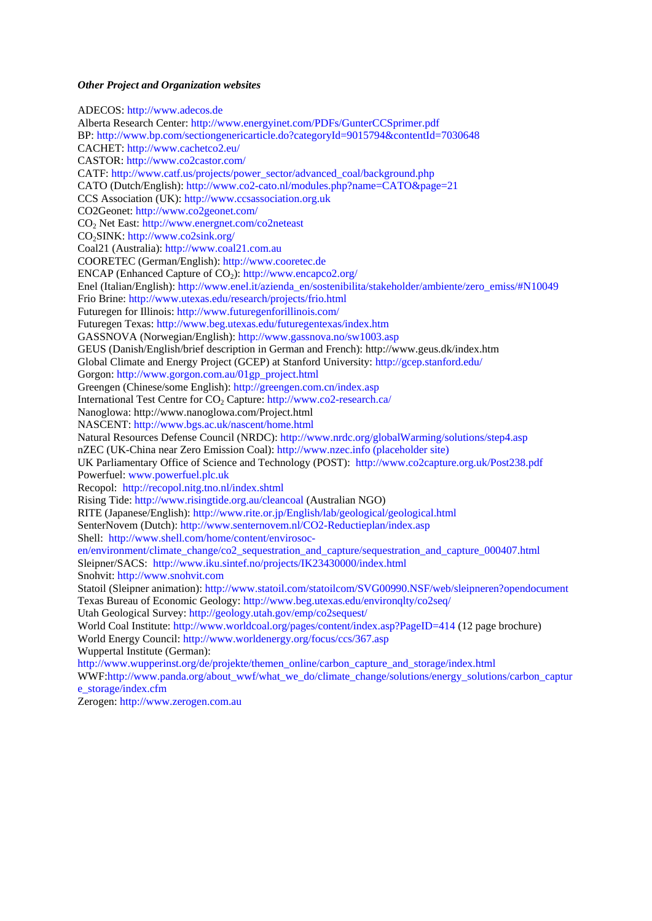#### *Other Project and Organization websites*

ADECOS: http://www.adecos.de Alberta Research Center: http://www.energyinet.com/PDFs/GunterCCSprimer.pdf BP: http://www.bp.com/sectiongenericarticle.do?categoryId=9015794&contentId=7030648 CACHET: http://www.cachetco2.eu/ CASTOR: http://www.co2castor.com/ CATF: http://www.catf.us/projects/power\_sector/advanced\_coal/background.php CATO (Dutch/English): http://www.co2-cato.nl/modules.php?name=CATO&page=21 CCS Association (UK): http://www.ccsassociation.org.uk CO2Geonet: http://www.co2geonet.com/ CO<sub>2</sub> Net East: http://www.energnet.com/co2neteast CO<sub>2</sub>SINK: http://www.co2sink.org/ Coal21 (Australia): http://www.coal21.com.au COORETEC (German/English): http://www.cooretec.de ENCAP (Enhanced Capture of CO<sub>2</sub>): http://www.encapco2.org/ Enel (Italian/English): http://www.enel.it/azienda\_en/sostenibilita/stakeholder/ambiente/zero\_emiss/#N10049 Frio Brine: http://www.utexas.edu/research/projects/frio.html Futuregen for Illinois: http://www.futuregenforillinois.com/ Futuregen Texas: http://www.beg.utexas.edu/futuregentexas/index.htm GASSNOVA (Norwegian/English): http://www.gassnova.no/sw1003.asp GEUS (Danish/English/brief description in German and French): http://www.geus.dk/index.htm Global Climate and Energy Project (GCEP) at Stanford University: http://gcep.stanford.edu/ Gorgon: http://www.gorgon.com.au/01gp\_project.html Greengen (Chinese/some English): http://greengen.com.cn/index.asp International Test Centre for CO<sub>2</sub> Capture: http://www.co2-research.ca/ Nanoglowa: http://www.nanoglowa.com/Project.html NASCENT: http://www.bgs.ac.uk/nascent/home.html Natural Resources Defense Council (NRDC): http://www.nrdc.org/globalWarming/solutions/step4.asp nZEC (UK-China near Zero Emission Coal): http://www.nzec.info (placeholder site) UK Parliamentary Office of Science and Technology (POST):http://www.co2capture.org.uk/Post238.pdf Powerfuel: www.powerfuel.plc.uk Recopol: http://recopol.nitg.tno.nl/index.shtml Rising Tide: http://www.risingtide.org.au/cleancoal (Australian NGO) RITE (Japanese/English): http://www.rite.or.jp/English/lab/geological/geological.html SenterNovem (Dutch): http://www.senternovem.nl/CO2-Reductieplan/index.asp Shell: http://www.shell.com/home/content/envirosocen/environment/climate\_change/co2\_sequestration\_and\_capture/sequestration\_and\_capture\_000407.html Sleipner/SACS: http://www.iku.sintef.no/projects/IK23430000/index.html Snohvit: http://www.snohvit.com Statoil (Sleipner animation): http://www.statoil.com/statoilcom/SVG00990.NSF/web/sleipneren?opendocument Texas Bureau of Economic Geology: http://www.beg.utexas.edu/environqlty/co2seq/ Utah Geological Survey: http://geology.utah.gov/emp/co2sequest/ World Coal Institute: http://www.worldcoal.org/pages/content/index.asp?PageID=414 (12 page brochure) World Energy Council: http://www.worldenergy.org/focus/ccs/367.asp Wuppertal Institute (German): http://www.wupperinst.org/de/projekte/themen\_online/carbon\_capture\_and\_storage/index.html WWF:http://www.panda.org/about\_wwf/what\_we\_do/climate\_change/solutions/energy\_solutions/carbon\_captur e\_storage/index.cfm

Zerogen: http://www.zerogen.com.au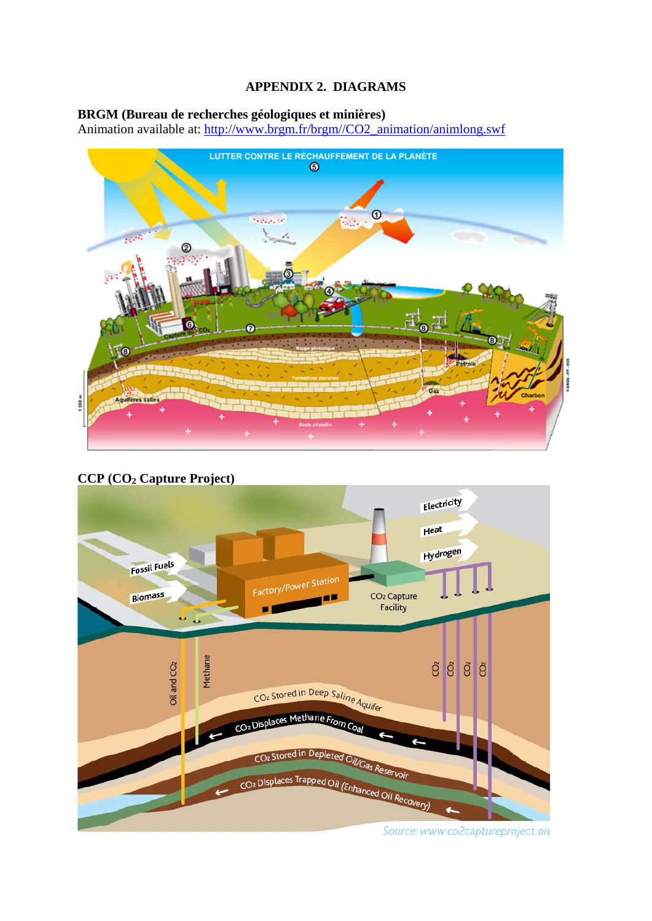# **APPENDIX 2. DIAGRAMS**

# **BRGM (Bureau de recherches géologiques et minières)**

Animation available at: http://www.brgm.fr/brgm//CO2\_animation/animlong.swf



# **CCP (CO2 Capture Project)**



Source: www.co2captureproject.ord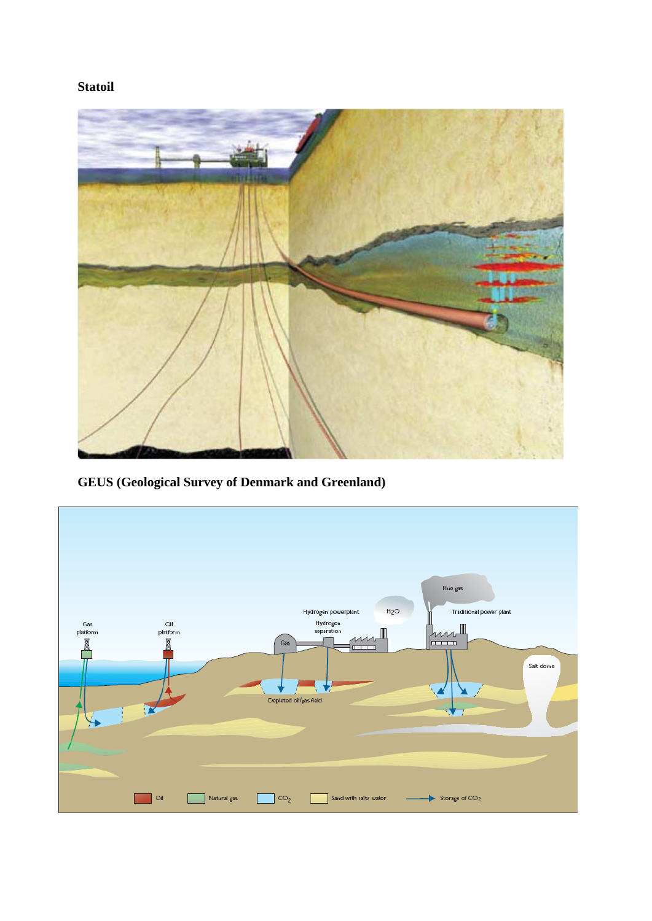**Statoil** 



**GEUS (Geological Survey of Denmark and Greenland)** 

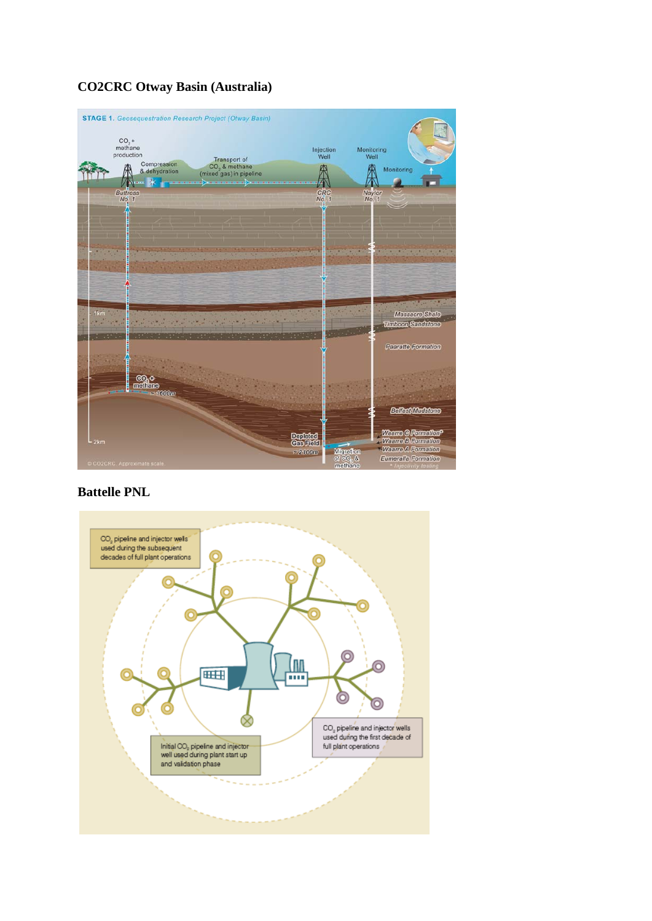#### **STAGE 1.** Geosequestration Research Project (Otway Basin)  $CO_2 +$ <br>methane<br>production Monitoring<br>Well Injection<br>Well Transport of<br>CO<sub>2</sub> & methane<br>(mixed gas) in pipeline Compression<br>& dehydration Europeasion<br>
8 derhydration<br>
Buttress<br>
No: 1 A 庚 THE Monitoring ø  $C_{NQ}^{RC}$ Naylo<br>No. 1 Massacre Shale<br>Timbeen Sandslone a. -× ä. **The Co Paaratte Formation ஞக்க**<br>மாணி<br>சாண் **Bellest Mudstere** Waano G Formallon<sup>o</sup><br>Waano B Formallon<br>Waano A Formallon **Depleted**<br>Gestald Migrati  $\approx 2100m$ Eumeralla Formation of CO<sub>2</sub> &<br>methane

# **CO2CRC Otway Basin (Australia)**

# **Battelle PNL**